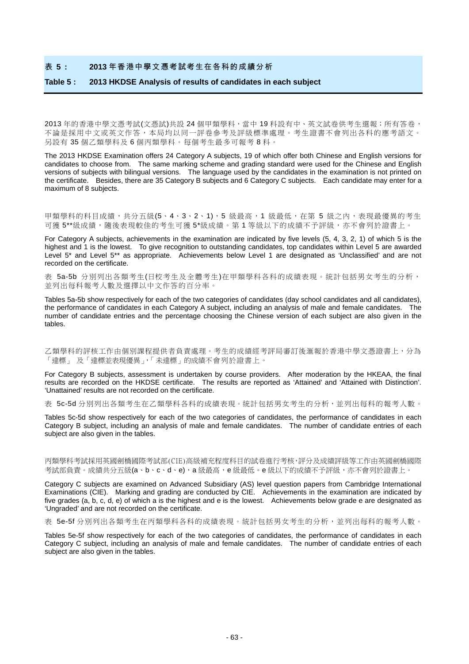#### 表 **5 : 2013** 年香港中學文憑考試考生在各科的成績分析

#### **Table 5 : 2013 HKDSE Analysis of results of candidates in each subject**

2013年的香港中學文憑考試(文憑試)共設 24個甲類學科,當中 19 科設有中、英文試卷供考生選報;所有答卷, 不論是採用中文或英文作答,本局均以同一評卷參考及評級標準處理。考生證書不會列出各科的應考語文。 另設有 35 個乙類學科及 6 個丙類學科。每個考生最多可報考 8 科。

The 2013 HKDSE Examination offers 24 Category A subjects, 19 of which offer both Chinese and English versions for candidates to choose from. The same marking scheme and grading standard were used for the Chinese and English versions of subjects with bilingual versions. The language used by the candidates in the examination is not printed on the certificate. Besides, there are 35 Category B subjects and 6 Category C subjects. Each candidate may enter for a maximum of 8 subjects.

甲類學科的科目成績,共分五級(5、4、3、2、1),5 級最高,1 級最低,在第5 級之內,表現最優異的考生 可獲 5\*\*級成績,隨後表現較佳的考生可獲 5\*級成績。第1 等級以下的成績不予評級,亦不會列於證書上。

For Category A subjects, achievements in the examination are indicated by five levels (5, 4, 3, 2, 1) of which 5 is the highest and 1 is the lowest. To give recognition to outstanding candidates, top candidates within Level 5 are awarded Level 5<sup>\*</sup> and Level 5<sup>\*\*</sup> as appropriate. Achievements below Level 1 are designated as 'Unclassified' and are not recorded on the certificate.

表 5a-5b 分別列出各類考生(日校考生及全體考生)在甲類學科各科的成績表現。統計包括男女考生的分析, 並列出每科報考人數及選擇以中文作答的百分率。

Tables 5a-5b show respectively for each of the two categories of candidates (day school candidates and all candidates), the performance of candidates in each Category A subject, including an analysis of male and female candidates. The number of candidate entries and the percentage choosing the Chinese version of each subject are also given in the tables.

乙類學科的評核工作由個別課程提供者負責處理。考生的成績經考評局審訂後滙報於香港中學文憑證書上,分為 「達標」 及「達標並表現優異」,「未達標」的成績不會列於證書上。

For Category B subjects, assessment is undertaken by course providers. After moderation by the HKEAA, the final results are recorded on the HKDSE certificate. The results are reported as 'Attained' and 'Attained with Distinction'. 'Unattained' results are not recorded on the certificate.

表 5c-5d 分別列出各類考生在乙類學科各科的成績表現。統計包括男女考生的分析,並列出每科的報考人數。

Tables 5c-5d show respectively for each of the two categories of candidates, the performance of candidates in each Category B subject, including an analysis of male and female candidates. The number of candidate entries of each subject are also given in the tables.

丙類學科考試採用英國劍橋國際考試部(CIE)高級補充程度科目的試卷進行考核,評分及成績評級等工作由英國劍橋國際 考試部負責。成績共分五級(a、b、c、d、e), a 級最高, e 級最低。e 級以下的成績不予評級,亦不會列於證書上。

Category C subjects are examined on Advanced Subsidiary (AS) level question papers from Cambridge International Examinations (CIE). Marking and grading are conducted by CIE. Achievements in the examination are indicated by five grades (a, b, c, d, e) of which a is the highest and e is the lowest. Achievements below grade e are designated as 'Ungraded' and are not recorded on the certificate.

表 5e-5f 分別列出各類考生在丙類學科各科的成績表現。統計包括男女考生的分析,並列出每科的報考人數。

Tables 5e-5f show respectively for each of the two categories of candidates, the performance of candidates in each Category C subject, including an analysis of male and female candidates. The number of candidate entries of each subject are also given in the tables.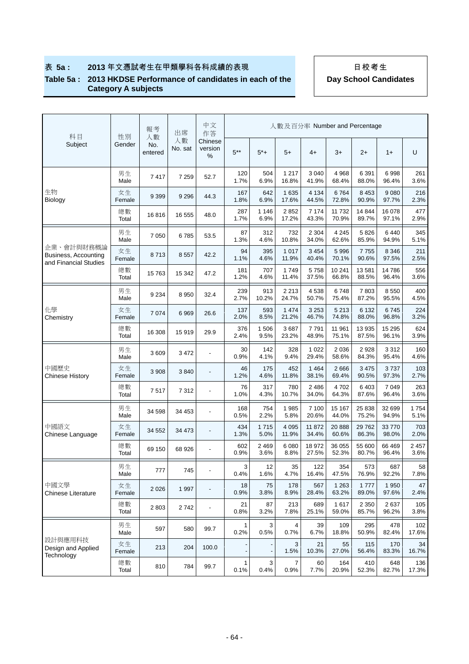## 表 **5a : 2013** 年文憑試考生在甲類學科各科成績的表現 日校考生

#### **Table 5a : 2013 HKDSE Performance of candidates in each of the Category A subjects**

| 科目                                                          | 性別           | 報考<br>人數       | 出席            | 中文<br>作答                 |                      |                 | 人數及百分率 Number and Percentage |                  |                  |                  |                  |                 |
|-------------------------------------------------------------|--------------|----------------|---------------|--------------------------|----------------------|-----------------|------------------------------|------------------|------------------|------------------|------------------|-----------------|
| Subject                                                     | Gender       | No.<br>entered | 人數<br>No. sat | Chinese<br>version<br>%  | $5***$               | $5*+$           | $5+$                         | $4+$             | $3+$             | $2+$             | $1+$             | U               |
|                                                             | 男生<br>Male   | 7417           | 7 2 5 9       | 52.7                     | 120<br>1.7%          | 504<br>6.9%     | 1 2 1 7<br>16.8%             | 3 0 4 0<br>41.9% | 4 9 6 8<br>68.4% | 6 3 9 1<br>88.0% | 6998<br>96.4%    | 261<br>3.6%     |
| 生物<br>Biology                                               | 女生<br>Female | 9 3 9 9        | 9 2 9 6       | 44.3                     | 167<br>1.8%          | 642<br>6.9%     | 1 6 3 5<br>17.6%             | 4 1 3 4<br>44.5% | 6764<br>72.8%    | 8 4 5 3<br>90.9% | 9 0 8 0<br>97.7% | 216<br>2.3%     |
|                                                             | 總數<br>Total  | 16816          | 16 555        | 48.0                     | 287<br>1.7%          | 1 1 4 6<br>6.9% | 2852<br>17.2%                | 7 174<br>43.3%   | 11 732<br>70.9%  | 14 844<br>89.7%  | 16 078<br>97.1%  | 477<br>2.9%     |
|                                                             | 男生<br>Male   | 7 0 5 0        | 6785          | 53.5                     | 87<br>1.3%           | 312<br>4.6%     | 732<br>10.8%                 | 2 3 0 4<br>34.0% | 4 2 4 5<br>62.6% | 5826<br>85.9%    | 6 4 4 0<br>94.9% | 345<br>5.1%     |
| 企業、會計與財務概論<br>Business, Accounting<br>and Financial Studies | 女生<br>Female | 8713           | 8 5 5 7       | 42.2                     | 94<br>1.1%           | 395<br>4.6%     | 1 0 1 7<br>11.9%             | 3 4 5 4<br>40.4% | 5 9 9 6<br>70.1% | 7755<br>90.6%    | 8 3 4 6<br>97.5% | 211<br>2.5%     |
|                                                             | 總數<br>Total  | 15 7 63        | 15 342        | 47.2                     | 181<br>1.2%          | 707<br>4.6%     | 1749<br>11.4%                | 5758<br>37.5%    | 10 241<br>66.8%  | 13 581<br>88.5%  | 14786<br>96.4%   | 556<br>3.6%     |
|                                                             | 男生<br>Male   | 9 2 3 4        | 8 9 5 0       | 32.4                     | 239<br>2.7%          | 913<br>10.2%    | 2 2 1 3<br>24.7%             | 4538<br>50.7%    | 6748<br>75.4%    | 7803<br>87.2%    | 8550<br>95.5%    | 400<br>4.5%     |
| 化學<br>Chemistry                                             | 女生<br>Female | 7 0 7 4        | 6969          | 26.6                     | 137<br>2.0%          | 593<br>8.5%     | 1 4 7 4<br>21.2%             | 3 2 5 3<br>46.7% | 5 2 1 3<br>74.8% | 6 1 3 2<br>88.0% | 6745<br>96.8%    | 224<br>3.2%     |
|                                                             | 總數<br>Total  | 16 308         | 15919         | 29.9                     | 376<br>2.4%          | 1506<br>9.5%    | 3687<br>23.2%                | 7791<br>48.9%    | 11 961<br>75.1%  | 13 935<br>87.5%  | 15 295<br>96.1%  | 624<br>3.9%     |
|                                                             | 男生<br>Male   | 3609           | 3 4 7 2       |                          | 30<br>0.9%           | 142<br>4.1%     | 328<br>9.4%                  | 1 0 2 2<br>29.4% | 2 0 3 6<br>58.6% | 2928<br>84.3%    | 3 3 1 2<br>95.4% | 160<br>4.6%     |
| 中國歷史<br><b>Chinese History</b>                              | 女生<br>Female | 3 9 0 8        | 3840          |                          | 46<br>1.2%           | 175<br>4.6%     | 452<br>11.8%                 | 1 4 6 4<br>38.1% | 2666<br>69.4%    | 3 4 7 5<br>90.5% | 3737<br>97.3%    | 103<br>2.7%     |
|                                                             | 總數<br>Total  | 7517           | 7 3 1 2       |                          | 76<br>1.0%           | 317<br>4.3%     | 780<br>10.7%                 | 2486<br>34.0%    | 4702<br>64.3%    | 6403<br>87.6%    | 7 0 4 9<br>96.4% | 263<br>3.6%     |
|                                                             | 男生<br>Male   | 34 598         | 34 453        | $\overline{\phantom{a}}$ | 168<br>0.5%          | 754<br>2.2%     | 1985<br>5.8%                 | 7 100<br>20.6%   | 15 167<br>44.0%  | 25 838<br>75.2%  | 32 699<br>94.9%  | 1754<br>5.1%    |
| 中國語文<br>Chinese Language                                    | 女生<br>Female | 34 552         | 34 473        | $\overline{\phantom{m}}$ | 434<br>1.3%          | 1715<br>5.0%    | 4 0 9 5<br>11.9%             | 11 872<br>34.4%  | 20 888<br>60.6%  | 29 7 62<br>86.3% | 33 770<br>98.0%  | 703<br>2.0%     |
|                                                             | 總數<br>Total  | 69 150         | 68 926        | $\overline{\phantom{a}}$ | 602<br>0.9%          | 2 4 6 9<br>3.6% | 6 0 8 0<br>8.8%              | 18 972<br>27.5%  | 36 055<br>52.3%  | 55 600<br>80.7%  | 66 469<br>96.4%  | 2 4 5 7<br>3.6% |
|                                                             | 男生<br>Male   | 777            | 745           | $\overline{\phantom{a}}$ | $\mathbf{3}$<br>0.4% | 12<br>1.6%      | 35<br>4.7%                   | 122<br>16.4%     | 354<br>47.5%     | 573<br>76.9%     | 687<br>92.2%     | 58<br>7.8%      |
| 中國文學<br><b>Chinese Literature</b>                           | 女生<br>Female | 2026           | 1 9 9 7       | $\overline{\phantom{a}}$ | 18<br>0.9%           | 75<br>3.8%      | 178<br>8.9%                  | 567<br>28.4%     | 1 2 6 3<br>63.2% | 1777<br>89.0%    | 1 9 5 0<br>97.6% | 47<br>2.4%      |
|                                                             | 總數<br>Total  | 2803           | 2742          | $\overline{\phantom{a}}$ | 21<br>0.8%           | 87<br>3.2%      | 213<br>7.8%                  | 689<br>25.1%     | 1617<br>59.0%    | 2 3 5 0<br>85.7% | 2637<br>96.2%    | 105<br>3.8%     |
|                                                             | 男生<br>Male   | 597            | 580           | 99.7                     | 1<br>0.2%            | 3<br>0.5%       | 4<br>0.7%                    | 39<br>6.7%       | 109<br>18.8%     | 295<br>50.9%     | 478<br>82.4%     | 102<br>17.6%    |
| 設計與應用科技<br>Design and Applied<br>Technology                 | 女生<br>Female | 213            | 204           | 100.0                    |                      |                 | 3<br>1.5%                    | 21<br>10.3%      | 55<br>27.0%      | 115<br>56.4%     | 170<br>83.3%     | 34<br>16.7%     |
|                                                             | 總數<br>Total  | 810            | 784           | 99.7                     | 1<br>0.1%            | 3<br>0.4%       | 7<br>0.9%                    | 60<br>7.7%       | 164<br>20.9%     | 410<br>52.3%     | 648<br>82.7%     | 136<br>17.3%    |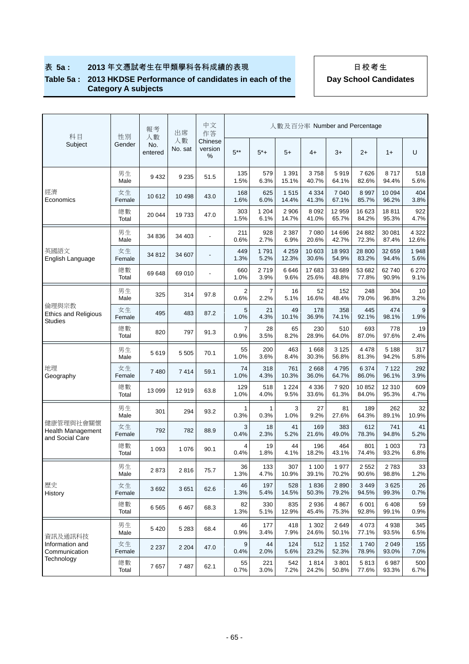#### **Table 5a : 2013 HKDSE Performance of candidates in each of the Category A subjects**

| 科目                                                       | 報考<br>性別<br>人數 |                | 出席<br>人數 |                          | 中文<br>人數及百分率 Number and Percentage<br>作答 |                 |                  |                  |                  |                  |                  |                  |  |
|----------------------------------------------------------|----------------|----------------|----------|--------------------------|------------------------------------------|-----------------|------------------|------------------|------------------|------------------|------------------|------------------|--|
| Subject                                                  | Gender         | No.<br>entered | No. sat  | Chinese<br>version<br>%  | $5***$                                   | $5^*+$          | $5+$             | $4+$             | $3+$             | $2+$             | $1+$             | U                |  |
|                                                          | 男生<br>Male     | 9432           | 9 2 3 5  | 51.5                     | 135<br>1.5%                              | 579<br>6.3%     | 1 3 9 1<br>15.1% | 3758<br>40.7%    | 5919<br>64.1%    | 7626<br>82.6%    | 8717<br>94.4%    | 518<br>5.6%      |  |
| 經濟<br>Economics                                          | 女生<br>Female   | 10 612         | 10 4 98  | 43.0                     | 168<br>1.6%                              | 625<br>6.0%     | 1515<br>14.4%    | 4 3 3 4<br>41.3% | 7 0 4 0<br>67.1% | 8 9 9 7<br>85.7% | 10 094<br>96.2%  | 404<br>3.8%      |  |
|                                                          | 總數<br>Total    | 20 044         | 19733    | 47.0                     | 303<br>1.5%                              | 1 2 0 4<br>6.1% | 2 9 0 6<br>14.7% | 8 0 9 2<br>41.0% | 12 959<br>65.7%  | 16 623<br>84.2%  | 18811<br>95.3%   | 922<br>4.7%      |  |
|                                                          | 男生<br>Male     | 34 836         | 34 403   | $\overline{\phantom{a}}$ | 211<br>0.6%                              | 928<br>2.7%     | 2 3 8 7<br>6.9%  | 7 0 8 0<br>20.6% | 14 696<br>42.7%  | 24 882<br>72.3%  | 30 081<br>87.4%  | 4 3 2 2<br>12.6% |  |
| 英國語文<br>English Language                                 | 女生<br>Female   | 34 812         | 34 607   | $\overline{a}$           | 449<br>1.3%                              | 1791<br>5.2%    | 4 2 5 9<br>12.3% | 10 603<br>30.6%  | 18 993<br>54.9%  | 28 800<br>83.2%  | 32 659<br>94.4%  | 1948<br>5.6%     |  |
|                                                          | 總數<br>Total    | 69 648         | 69 010   |                          | 660<br>1.0%                              | 2719<br>3.9%    | 6646<br>9.6%     | 17683<br>25.6%   | 33 689<br>48.8%  | 53 682<br>77.8%  | 62740<br>90.9%   | 6 270<br>9.1%    |  |
|                                                          | 男生<br>Male     | 325            | 314      | 97.8                     | $\overline{2}$<br>0.6%                   | 7<br>2.2%       | 16<br>5.1%       | 52<br>16.6%      | 152<br>48.4%     | 248<br>79.0%     | 304<br>96.8%     | 10<br>3.2%       |  |
| 倫理與宗教<br><b>Ethics and Religious</b><br><b>Studies</b>   | 女生<br>Female   | 495            | 483      | 87.2                     | 5<br>1.0%                                | 21<br>4.3%      | 49<br>10.1%      | 178<br>36.9%     | 358<br>74.1%     | 445<br>92.1%     | 474<br>98.1%     | 9<br>1.9%        |  |
|                                                          | 總數<br>Total    | 820            | 797      | 91.3                     | 7<br>0.9%                                | 28<br>3.5%      | 65<br>8.2%       | 230<br>28.9%     | 510<br>64.0%     | 693<br>87.0%     | 778<br>97.6%     | 19<br>2.4%       |  |
|                                                          | 男生<br>Male     | 5619           | 5 5 0 5  | 70.1                     | 55<br>1.0%                               | 200<br>3.6%     | 463<br>8.4%      | 1668<br>30.3%    | 3 1 2 5<br>56.8% | 4 4 7 8<br>81.3% | 5 1 8 8<br>94.2% | 317<br>5.8%      |  |
| 地理<br>Geography                                          | 女生<br>Female   | 7480           | 7414     | 59.1                     | 74<br>1.0%                               | 318<br>4.3%     | 761<br>10.3%     | 2668<br>36.0%    | 4795<br>64.7%    | 6 3 7 4<br>86.0% | 7 1 2 2<br>96.1% | 292<br>3.9%      |  |
|                                                          | 總數<br>Total    | 13 099         | 12919    | 63.8                     | 129<br>1.0%                              | 518<br>4.0%     | 1 2 2 4<br>9.5%  | 4 3 3 6<br>33.6% | 7920<br>61.3%    | 10852<br>84.0%   | 12 3 10<br>95.3% | 609<br>4.7%      |  |
|                                                          | 男生<br>Male     | 301            | 294      | 93.2                     | 1<br>0.3%                                | 1<br>0.3%       | 3<br>1.0%        | 27<br>9.2%       | 81<br>27.6%      | 189<br>64.3%     | 262<br>89.1%     | 32<br>10.9%      |  |
| 健康管理與社會關懷<br><b>Health Management</b><br>and Social Care | 女生<br>Female   | 792            | 782      | 88.9                     | 3<br>0.4%                                | 18<br>2.3%      | 41<br>5.2%       | 169<br>21.6%     | 383<br>49.0%     | 612<br>78.3%     | 741<br>94.8%     | 41<br>5.2%       |  |
|                                                          | 總數<br>Total    | 1 0 9 3        | 1 0 7 6  | 90.1                     | $\overline{4}$<br>0.4%                   | 19<br>1.8%      | 44<br>4.1%       | 196<br>18.2%     | 464<br>43.1%     | 801<br>74.4%     | 1 0 0 3<br>93.2% | 73<br>6.8%       |  |
|                                                          | 男生<br>Male     | 2873           | 2816     | 75.7                     | 36<br>1.3%                               | 133<br>4.7%     | 307<br>10.9%     | 1 100<br>39.1%   | 1977<br>70.2%    | 2 5 5 2<br>90.6% | 2783<br>98.8%    | 33<br>1.2%       |  |
| 歷史<br>History                                            | 女生<br>Female   | 3692           | 3 6 5 1  | 62.6                     | 46<br>1.3%                               | 197<br>5.4%     | 528<br>14.5%     | 1836<br>50.3%    | 2890<br>79.2%    | 3 4 4 9<br>94.5% | 3625<br>99.3%    | 26<br>0.7%       |  |
|                                                          | 總數<br>Total    | 6565           | 6467     | 68.3                     | 82<br>1.3%                               | 330<br>5.1%     | 835<br>12.9%     | 2936<br>45.4%    | 4 8 6 7<br>75.3% | 6 0 0 1<br>92.8% | 6408<br>99.1%    | 59<br>0.9%       |  |
| 資訊及通訊科技                                                  | 男生<br>Male     | 5420           | 5 2 8 3  | 68.4                     | 46<br>0.9%                               | 177<br>3.4%     | 418<br>7.9%      | 1 3 0 2<br>24.6% | 2649<br>50.1%    | 4 0 7 3<br>77.1% | 4938<br>93.5%    | 345<br>6.5%      |  |
| Information and<br>Communication                         | 女生<br>Female   | 2 2 3 7        | 2 2 0 4  | 47.0                     | 9<br>0.4%                                | 44<br>2.0%      | 124<br>5.6%      | 512<br>23.2%     | 1 1 5 2<br>52.3% | 1740<br>78.9%    | 2 0 4 9<br>93.0% | 155<br>7.0%      |  |
| Technology                                               | 總數<br>Total    | 7657           | 7487     | 62.1                     | 55<br>0.7%                               | 221<br>3.0%     | 542<br>7.2%      | 1814<br>24.2%    | 3801<br>50.8%    | 5813<br>77.6%    | 6987<br>93.3%    | 500<br>6.7%      |  |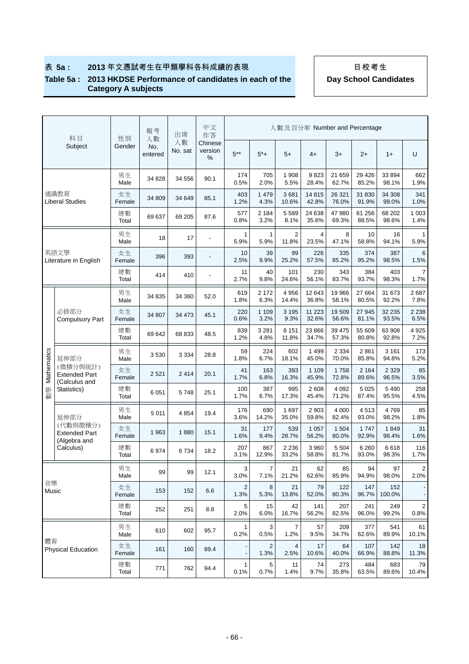### **Table 5a : 2013 HKDSE Performance of candidates in each of the Category A subjects**

|             | 科目                                                | 性別           | 報考<br>人數       | 出席            | 中文<br>作答                 |             |                 | 人數及百分率 Number and Percentage |                  |                  |                  |                  |                        |
|-------------|---------------------------------------------------|--------------|----------------|---------------|--------------------------|-------------|-----------------|------------------------------|------------------|------------------|------------------|------------------|------------------------|
|             | Subject                                           | Gender       | No.<br>entered | 人數<br>No. sat | Chinese<br>version<br>%  | $5***$      | $5^*+$          | $5+$                         | $4+$             | $3+$             | $2+$             | $1+$             | U                      |
|             |                                                   | 男生<br>Male   | 34 828         | 34 556        | 90.1                     | 174<br>0.5% | 705<br>2.0%     | 1 908<br>5.5%                | 9823<br>28.4%    | 21 659<br>62.7%  | 29 4 26<br>85.2% | 33 894<br>98.1%  | 662<br>1.9%            |
|             | 通識教育<br><b>Liberal Studies</b>                    | 女生<br>Female | 34 809         | 34 649        | 85.1                     | 403<br>1.2% | 1 4 7 9<br>4.3% | 3681<br>10.6%                | 14815<br>42.8%   | 26 321<br>76.0%  | 31 830<br>91.9%  | 34 308<br>99.0%  | 341<br>1.0%            |
|             |                                                   | 總數<br>Total  | 69 637         | 69 205        | 87.6                     | 577<br>0.8% | 2 1 8 4<br>3.2% | 5 5 8 9<br>8.1%              | 24 638<br>35.6%  | 47 980<br>69.3%  | 61 256<br>88.5%  | 68 20 2<br>98.6% | 1 0 0 3<br>1.4%        |
|             |                                                   | 男生<br>Male   | 18             | 17            | $\overline{a}$           | 1<br>5.9%   | 1<br>5.9%       | 2<br>11.8%                   | 4<br>23.5%       | 8<br>47.1%       | 10<br>58.8%      | 16<br>94.1%      | 1<br>5.9%              |
|             | 英語文學<br>Literature in English                     | 女生<br>Female | 396            | 393           | $\overline{\phantom{a}}$ | 10<br>2.5%  | 39<br>9.9%      | 99<br>25.2%                  | 226<br>57.5%     | 335<br>85.2%     | 374<br>95.2%     | 387<br>98.5%     | 6<br>1.5%              |
|             |                                                   | 總數<br>Total  | 414            | 410           | $\overline{a}$           | 11<br>2.7%  | 40<br>9.8%      | 101<br>24.6%                 | 230<br>56.1%     | 343<br>83.7%     | 384<br>93.7%     | 403<br>98.3%     | 7<br>1.7%              |
|             |                                                   | 男生<br>Male   | 34 835         | 34 360        | 52.0                     | 619<br>1.8% | 2 1 7 2<br>6.3% | 4 9 5 6<br>14.4%             | 12 643<br>36.8%  | 19 966<br>58.1%  | 27 664<br>80.5%  | 31 673<br>92.2%  | 2 6 8 7<br>7.8%        |
|             | 必修部分<br><b>Compulsory Part</b>                    | 女生<br>Female | 34 807         | 34 473        | 45.1                     | 220<br>0.6% | 1 1 0 9<br>3.2% | 3 1 9 5<br>9.3%              | 11 2 23<br>32.6% | 19509<br>56.6%   | 27 945<br>81.1%  | 32 235<br>93.5%  | 2 2 3 8<br>6.5%        |
|             |                                                   | 總數<br>Total  | 69 642         | 68 833        | 48.5                     | 839<br>1.2% | 3 2 8 1<br>4.8% | 8 1 5 1<br>11.8%             | 23 866<br>34.7%  | 39 475<br>57.3%  | 55 609<br>80.8%  | 63 908<br>92.8%  | 4 9 2 5<br>7.2%        |
|             | 延伸部分                                              | 男生<br>Male   | 3530           | 3 3 3 4       | 28.8                     | 59<br>1.8%  | 224<br>6.7%     | 602<br>18.1%                 | 1 4 9 9<br>45.0% | 2 3 3 4<br>70.0% | 2861<br>85.8%    | 3 1 6 1<br>94.8% | 173<br>5.2%            |
| Mathematics | (微積分與統計)<br><b>Extended Part</b><br>(Calculus and | 女生<br>Female | 2 5 21         | 2 4 1 4       | 20.1                     | 41<br>1.7%  | 163<br>6.8%     | 393<br>16.3%                 | 1 1 0 9<br>45.9% | 1758<br>72.8%    | 2 1 6 4<br>89.6% | 2 3 2 9<br>96.5% | 85<br>3.5%             |
| 數學          | Statistics)                                       | 總數<br>Total  | 6 0 5 1        | 5748          | 25.1                     | 100<br>1.7% | 387<br>6.7%     | 995<br>17.3%                 | 2608<br>45.4%    | 4 0 9 2<br>71.2% | 5 0 2 5<br>87.4% | 5 4 9 0<br>95.5% | 258<br>4.5%            |
|             | 延伸部分                                              | 男生<br>Male   | 5 0 1 1        | 4 8 5 4       | 19.4                     | 176<br>3.6% | 690<br>14.2%    | 1 697<br>35.0%               | 2 9 0 3<br>59.8% | 4 0 0 0<br>82.4% | 4513<br>93.0%    | 4769<br>98.2%    | 85<br>1.8%             |
|             | (代數與微積分)<br><b>Extended Part</b><br>(Algebra and  | 女生<br>Female | 1963           | 1880          | 15.1                     | 31<br>1.6%  | 177<br>9.4%     | 539<br>28.7%                 | 1 0 5 7<br>56.2% | 1 504<br>80.0%   | 1747<br>92.9%    | 1849<br>98.4%    | 31<br>1.6%             |
|             | Calculus)                                         | 總數<br>Total  | 6974           | 6734          | 18.2                     | 207<br>3.1% | 867<br>12.9%    | 2 2 3 6<br>33.2%             | 3 9 6 0<br>58.8% | 5 5 0 4<br>81.7% | 6 2 6 0<br>93.0% | 6618<br>98.3%    | 116<br>1.7%            |
|             |                                                   | 男生<br>Male   | 99             | 99            | 12.1                     | 3<br>3.0%   | 7<br>7.1%       | 21<br>21.2%                  | 62<br>62.6%      | 85<br>85.9%      | 94<br>94.9%      | 97<br>98.0%      | 2<br>2.0%              |
| 音樂<br>Music |                                                   | 女生<br>Female | 153            | 152           | 6.6                      | 2<br>1.3%   | 8<br>5.3%       | 21<br>13.8%                  | 79<br>52.0%      | 122<br>80.3%     | 147<br>96.7%     | 152<br>100.0%    |                        |
|             |                                                   | 總數<br>Total  | 252            | 251           | 8.8                      | 5<br>2.0%   | 15<br>6.0%      | 42<br>16.7%                  | 141<br>56.2%     | 207<br>82.5%     | 241<br>96.0%     | 249<br>99.2%     | $\overline{2}$<br>0.8% |
|             |                                                   | 男生<br>Male   | 610            | 602           | 95.7                     | 1<br>0.2%   | 3<br>0.5%       | 7<br>1.2%                    | 57<br>9.5%       | 209<br>34.7%     | 377<br>62.6%     | 541<br>89.9%     | 61<br>10.1%            |
| 體育          | <b>Physical Education</b>                         | 女生<br>Female | 161            | 160           | 89.4                     |             | 2<br>1.3%       | 4<br>2.5%                    | 17<br>10.6%      | 64<br>40.0%      | 107<br>66.9%     | 142<br>88.8%     | 18<br>11.3%            |
|             |                                                   | 總數<br>Total  | 771            | 762           | 94.4                     | 1<br>0.1%   | 5<br>0.7%       | 11<br>1.4%                   | 74<br>9.7%       | 273<br>35.8%     | 484<br>63.5%     | 683<br>89.6%     | 79<br>10.4%            |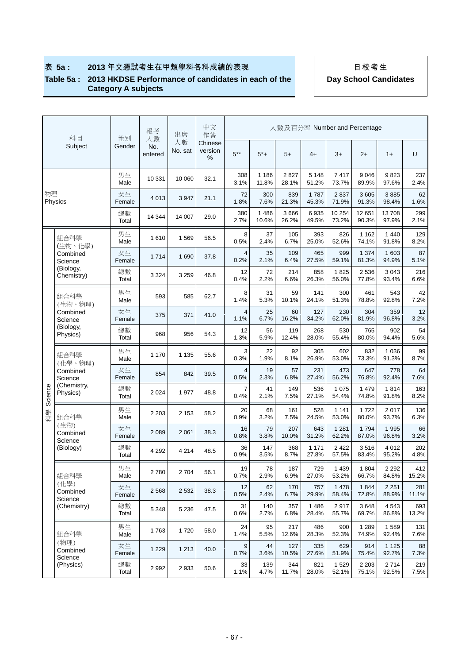#### **Table 5a : 2013 HKDSE Performance of candidates in each of the Category A subjects**

| 科目      | 性別                          | 報考<br>人數     | 出席             | 中文<br>作答      |                         |                        |                  |                  |                  | 人數及百分率 Number and Percentage |                  |                  |              |
|---------|-----------------------------|--------------|----------------|---------------|-------------------------|------------------------|------------------|------------------|------------------|------------------------------|------------------|------------------|--------------|
|         | Subject                     | Gender       | No.<br>entered | 人數<br>No. sat | Chinese<br>version<br>% | $5***$                 | $5^*+$           | $5+$             | $4+$             | $3+$                         | $2+$             | $1+$             | U            |
|         |                             | 男生<br>Male   | 10 331         | 10 060        | 32.1                    | 308<br>3.1%            | 1 1 8 6<br>11.8% | 2827<br>28.1%    | 5 1 4 8<br>51.2% | 7417<br>73.7%                | 9046<br>89.9%    | 9823<br>97.6%    | 237<br>2.4%  |
| 物理      | Physics                     | 女生<br>Female | 4 0 1 3        | 3 9 4 7       | 21.1                    | 72<br>1.8%             | 300<br>7.6%      | 839<br>21.3%     | 1787<br>45.3%    | 2837<br>71.9%                | 3605<br>91.3%    | 3885<br>98.4%    | 62<br>1.6%   |
|         |                             | 總數<br>Total  | 14 344         | 14 007        | 29.0                    | 380<br>2.7%            | 1486<br>10.6%    | 3 6 6 6<br>26.2% | 6935<br>49.5%    | 10 254<br>73.2%              | 12 651<br>90.3%  | 13708<br>97.9%   | 299<br>2.1%  |
|         | 組合科學<br>(生物、化學)             | 男生<br>Male   | 1610           | 1 5 6 9       | 56.5                    | 8<br>0.5%              | 37<br>2.4%       | 105<br>6.7%      | 393<br>25.0%     | 826<br>52.6%                 | 1 1 6 2<br>74.1% | 1 4 4 0<br>91.8% | 129<br>8.2%  |
|         | Combined<br>Science         | 女生<br>Female | 1714           | 1 6 9 0       | 37.8                    | 4<br>0.2%              | 35<br>2.1%       | 109<br>6.4%      | 465<br>27.5%     | 999<br>59.1%                 | 1 3 7 4<br>81.3% | 1 603<br>94.9%   | 87<br>5.1%   |
|         | (Biology,<br>Chemistry)     | 總數<br>Total  | 3 3 2 4        | 3 2 5 9       | 46.8                    | 12<br>0.4%             | 72<br>2.2%       | 214<br>6.6%      | 858<br>26.3%     | 1825<br>56.0%                | 2536<br>77.8%    | 3 0 4 3<br>93.4% | 216<br>6.6%  |
|         | 組合科學<br>(生物、物理)             | 男生<br>Male   | 593            | 585           | 62.7                    | 8<br>1.4%              | 31<br>5.3%       | 59<br>10.1%      | 141<br>24.1%     | 300<br>51.3%                 | 461<br>78.8%     | 543<br>92.8%     | 42<br>7.2%   |
|         | Combined<br>Science         | 女生<br>Female | 375            | 371           | 41.0                    | $\overline{4}$<br>1.1% | 25<br>6.7%       | 60<br>16.2%      | 127<br>34.2%     | 230<br>62.0%                 | 304<br>81.9%     | 359<br>96.8%     | 12<br>3.2%   |
|         | (Biology,<br>Physics)       | 總數<br>Total  | 968            | 956           | 54.3                    | 12<br>1.3%             | 56<br>5.9%       | 119<br>12.4%     | 268<br>28.0%     | 530<br>55.4%                 | 765<br>80.0%     | 902<br>94.4%     | 54<br>5.6%   |
|         | 組合科學<br>(化學、物理)             | 男生<br>Male   | 1 1 7 0        | 1 1 3 5       | 55.6                    | 3<br>0.3%              | 22<br>1.9%       | 92<br>8.1%       | 305<br>26.9%     | 602<br>53.0%                 | 832<br>73.3%     | 1 0 3 6<br>91.3% | 99<br>8.7%   |
|         | Combined<br>Science         | 女生<br>Female | 854            | 842           | 39.5                    | 4<br>0.5%              | 19<br>2.3%       | 57<br>6.8%       | 231<br>27.4%     | 473<br>56.2%                 | 647<br>76.8%     | 778<br>92.4%     | 64<br>7.6%   |
| Science | (Chemistry,<br>Physics)     | 總數<br>Total  | 2 0 2 4        | 1 977         | 48.8                    | 7<br>0.4%              | 41<br>2.1%       | 149<br>7.5%      | 536<br>27.1%     | 1 0 7 5<br>54.4%             | 1 4 7 9<br>74.8% | 1814<br>91.8%    | 163<br>8.2%  |
| 科學      | 組合科學                        | 男生<br>Male   | 2 2 0 3        | 2 1 5 3       | 58.2                    | 20<br>0.9%             | 68<br>3.2%       | 161<br>7.5%      | 528<br>24.5%     | 1 1 4 1<br>53.0%             | 1722<br>80.0%    | 2017<br>93.7%    | 136<br>6.3%  |
|         | (生物)<br>Combined<br>Science | 女生<br>Female | 2 0 8 9        | 2 0 6 1       | 38.3                    | 16<br>0.8%             | 79<br>3.8%       | 207<br>10.0%     | 643<br>31.2%     | 1 2 8 1<br>62.2%             | 1794<br>87.0%    | 1995<br>96.8%    | 66<br>3.2%   |
|         | (Biology)                   | 總數<br>Total  | 4 2 9 2        | 4 2 1 4       | 48.5                    | 36<br>0.9%             | 147<br>3.5%      | 368<br>8.7%      | 1 1 7 1<br>27.8% | 2 4 2 2<br>57.5%             | 3516<br>83.4%    | 4 0 1 2<br>95.2% | 202<br>4.8%  |
|         | 組合科學                        | 男生<br>Male   | 2780           | 2 7 0 4       | 56.1                    | 19<br>0.7%             | 78<br>2.9%       | 187<br>6.9%      | 729<br>27.0%     | 1 4 3 9<br>53.2%             | 1804<br>66.7%    | 2 2 9 2<br>84.8% | 412<br>15.2% |
|         | (化學)<br>Combined<br>Science | 女生<br>Female | 2 5 6 8        | 2 5 3 2       | 38.3                    | 12<br>0.5%             | 62<br>2.4%       | 170<br>6.7%      | 757<br>29.9%     | 1 4 7 8<br>58.4%             | 1844<br>72.8%    | 2 2 5 1<br>88.9% | 281<br>11.1% |
|         | (Chemistry)                 | 總數<br>Total  | 5 3 4 8        | 5 2 3 6       | 47.5                    | 31<br>0.6%             | 140<br>2.7%      | 357<br>6.8%      | 1 4 8 6<br>28.4% | 2917<br>55.7%                | 3648<br>69.7%    | 4543<br>86.8%    | 693<br>13.2% |
|         | 組合科學                        | 男生<br>Male   | 1763           | 1720          | 58.0                    | 24<br>1.4%             | 95<br>5.5%       | 217<br>12.6%     | 486<br>28.3%     | 900<br>52.3%                 | 1 2 8 9<br>74.9% | 1589<br>92.4%    | 131<br>7.6%  |
|         | (物理)<br>Combined<br>Science | 女生<br>Female | 1 2 2 9        | 1 2 1 3       | 40.0                    | 9<br>0.7%              | 44<br>3.6%       | 127<br>10.5%     | 335<br>27.6%     | 629<br>51.9%                 | 914<br>75.4%     | 1 1 2 5<br>92.7% | 88<br>7.3%   |
|         | (Physics)                   | 總數<br>Total  | 2992           | 2 9 3 3       | 50.6                    | 33<br>1.1%             | 139<br>4.7%      | 344<br>11.7%     | 821<br>28.0%     | 1529<br>52.1%                | 2 2 0 3<br>75.1% | 2714<br>92.5%    | 219<br>7.5%  |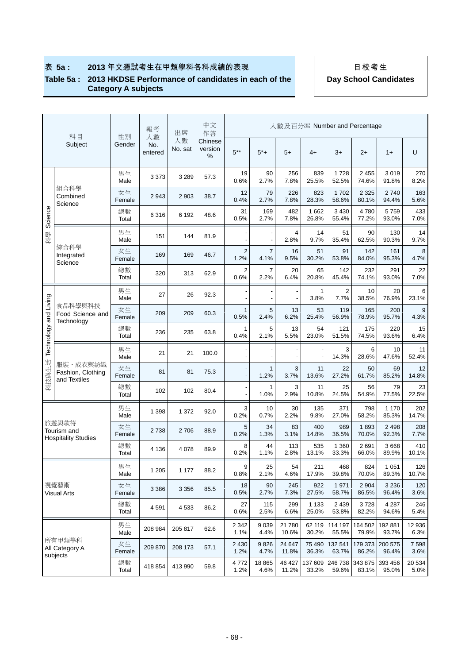### **Table 5a : 2013 HKDSE Performance of candidates in each of the Category A subjects**

|                       | 科目                                                 | 性別           | 報考<br>人數       | 出席            | 中文<br>作答                |                        |                        |                 |                  |                        | 人數及百分率 Number and Percentage |                  |                |
|-----------------------|----------------------------------------------------|--------------|----------------|---------------|-------------------------|------------------------|------------------------|-----------------|------------------|------------------------|------------------------------|------------------|----------------|
|                       | Subject                                            | Gender       | No.<br>entered | 人數<br>No. sat | Chinese<br>version<br>% | $5***$                 | 5*+                    | $5+$            | $4+$             | $3+$                   | $2+$                         | $1+$             | U              |
|                       |                                                    | 男生<br>Male   | 3 3 7 3        | 3 2 8 9       | 57.3                    | 19<br>0.6%             | 90<br>2.7%             | 256<br>7.8%     | 839<br>25.5%     | 1728<br>52.5%          | 2 4 5 5<br>74.6%             | 3019<br>91.8%    | 270<br>8.2%    |
|                       | 組合科學<br>Combined<br>Science                        | 女生<br>Female | 2943           | 2 9 0 3       | 38.7                    | 12<br>0.4%             | 79<br>2.7%             | 226<br>7.8%     | 823<br>28.3%     | 1702<br>58.6%          | 2 3 2 5<br>80.1%             | 2740<br>94.4%    | 163<br>5.6%    |
| Science               |                                                    | 總數<br>Total  | 6316           | 6 1 9 2       | 48.6                    | 31<br>0.5%             | 169<br>2.7%            | 482<br>7.8%     | 1 6 6 2<br>26.8% | 3 4 3 0<br>55.4%       | 4780<br>77.2%                | 5759<br>93.0%    | 433<br>7.0%    |
| 科學                    |                                                    | 男生<br>Male   | 151            | 144           | 81.9                    |                        |                        | 4<br>2.8%       | 14<br>9.7%       | 51<br>35.4%            | 90<br>62.5%                  | 130<br>90.3%     | 14<br>9.7%     |
|                       | 綜合科學<br>Integrated<br>Science                      | 女生<br>Female | 169            | 169           | 46.7                    | $\overline{2}$<br>1.2% | $\overline{7}$<br>4.1% | 16<br>9.5%      | 51<br>30.2%      | 91<br>53.8%            | 142<br>84.0%                 | 161<br>95.3%     | 8<br>4.7%      |
|                       |                                                    | 總數<br>Total  | 320            | 313           | 62.9                    | 2<br>0.6%              | 7<br>2.2%              | 20<br>6.4%      | 65<br>20.8%      | 142<br>45.4%           | 232<br>74.1%                 | 291<br>93.0%     | 22<br>7.0%     |
|                       |                                                    | 男生<br>Male   | 27             | 26            | 92.3                    |                        |                        |                 | 1<br>3.8%        | $\overline{2}$<br>7.7% | 10<br>38.5%                  | 20<br>76.9%      | 6<br>23.1%     |
|                       | 食品科學與科技<br>Food Science and<br>Technology          | 女生<br>Female | 209            | 209           | 60.3                    | 1<br>0.5%              | 5<br>2.4%              | 13<br>6.2%      | 53<br>25.4%      | 119<br>56.9%           | 165<br>78.9%                 | 200<br>95.7%     | 9<br>4.3%      |
| Technology and Living |                                                    | 總數<br>Total  | 236            | 235           | 63.8                    | 1<br>0.4%              | 5<br>2.1%              | 13<br>5.5%      | 54<br>23.0%      | 121<br>51.5%           | 175<br>74.5%                 | 220<br>93.6%     | 15<br>6.4%     |
|                       |                                                    | 男生<br>Male   | 21             | 21            | 100.0                   |                        |                        |                 |                  | 3<br>14.3%             | 6<br>28.6%                   | 10<br>47.6%      | 11<br>52.4%    |
| 科技與生活                 | 服裝、成衣與紡織<br>Fashion, Clothing<br>and Textiles      | 女生<br>Female | 81             | 81            | 75.3                    |                        | $\mathbf{1}$<br>1.2%   | 3<br>3.7%       | 11<br>13.6%      | 22<br>27.2%            | 50<br>61.7%                  | 69<br>85.2%      | 12<br>14.8%    |
|                       |                                                    | 總數<br>Total  | 102            | 102           | 80.4                    |                        | 1<br>1.0%              | 3<br>2.9%       | 11<br>10.8%      | 25<br>24.5%            | 56<br>54.9%                  | 79<br>77.5%      | 23<br>22.5%    |
|                       |                                                    | 男生<br>Male   | 1 3 9 8        | 1 372         | 92.0                    | 3<br>0.2%              | 10<br>0.7%             | 30<br>2.2%      | 135<br>9.8%      | 371<br>27.0%           | 798<br>58.2%                 | 1 1 7 0<br>85.3% | 202<br>14.7%   |
|                       | 旅遊與款待<br>Tourism and<br><b>Hospitality Studies</b> | 女生<br>Female | 2738           | 2 706         | 88.9                    | 5<br>0.2%              | 34<br>1.3%             | 83<br>3.1%      | 400<br>14.8%     | 989<br>36.5%           | 1893<br>70.0%                | 2 4 9 8<br>92.3% | 208<br>7.7%    |
|                       |                                                    | 總數<br>Total  | 4 1 3 6        | 4 0 78        | 89.9                    | 8<br>0.2%              | 44<br>1.1%             | 113<br>2.8%     | 535<br>13.1%     | 1 3 6 0<br>33.3%       | 2691<br>66.0%                | 3668<br>89.9%    | 410<br>10.1%   |
|                       |                                                    | 男生<br>Male   | 1 2 0 5        | 1 1 7 7       | 88.2                    | 9<br>0.8%              | 25<br>2.1%             | 54<br>4.6%      | 211<br>17.9%     | 468<br>39.8%           | 824<br>70.0%                 | 1 0 5 1<br>89.3% | 126<br>10.7%   |
|                       | 視覺藝術<br><b>Visual Arts</b>                         | 女生<br>Female | 3 3 8 6        | 3 3 5 6       | 85.5                    | 18<br>0.5%             | 90<br>2.7%             | 245<br>7.3%     | 922<br>27.5%     | 1971<br>58.7%          | 2 9 0 4<br>86.5%             | 3 2 3 6<br>96.4% | 120<br>3.6%    |
|                       |                                                    | 總數<br>Total  | 4591           | 4 5 3 3       | 86.2                    | 27<br>0.6%             | 115<br>2.5%            | 299<br>6.6%     | 1 1 3 3<br>25.0% | 2 4 3 9<br>53.8%       | 3728<br>82.2%                | 4 2 8 7<br>94.6% | 246<br>5.4%    |
|                       |                                                    | 男生<br>Male   | 208 984        | 205 817       | 62.6                    | 2 3 4 2<br>1.1%        | 9039<br>4.4%           | 21 780<br>10.6% | 62 119<br>30.2%  | 114 197<br>55.5%       | 164 502<br>79.9%             | 192 881<br>93.7% | 12 936<br>6.3% |
| subjects              | 所有甲類學科<br>All Category A                           | 女生<br>Female | 209 870        | 208 173       | 57.1                    | 2 4 3 0<br>1.2%        | 9826<br>4.7%           | 24 647<br>11.8% | 75 490<br>36.3%  | 132 541<br>63.7%       | 179 373<br>86.2%             | 200 575<br>96.4% | 7598<br>3.6%   |
|                       |                                                    | 總數<br>Total  | 418 854        | 413 990       | 59.8                    | 4772<br>1.2%           | 18 8 65<br>4.6%        | 46 427<br>11.2% | 137 609<br>33.2% | 246 738<br>59.6%       | 343 875<br>83.1%             | 393 456<br>95.0% | 20 534<br>5.0% |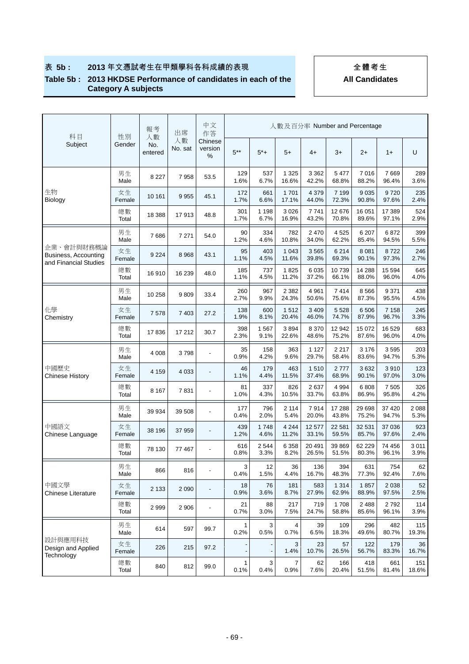#### **Table 5b : 2013 HKDSE Performance of candidates in each of the Category A subjects**

| 科目                                                          | 性別           | 報考<br>人數       | 出席            | 中文<br>作答                 |             |                 |                  |                  | 人數及百分率 Number and Percentage |                   |                  |                 |
|-------------------------------------------------------------|--------------|----------------|---------------|--------------------------|-------------|-----------------|------------------|------------------|------------------------------|-------------------|------------------|-----------------|
| Subject                                                     | Gender       | No.<br>entered | 人數<br>No. sat | Chinese<br>version<br>℅  | $5***$      | $5^{*}+$        | $5+$             | $4+$             | $3+$                         | $2+$              | $1+$             | U               |
|                                                             | 男生<br>Male   | 8 2 2 7        | 7958          | 53.5                     | 129<br>1.6% | 537<br>6.7%     | 1 3 2 5<br>16.6% | 3 3 6 2<br>42.2% | 5 4 7 7<br>68.8%             | 7016<br>88.2%     | 7669<br>96.4%    | 289<br>3.6%     |
| 生物<br>Biology                                               | 女生<br>Female | 10 161         | 9 9 5 5       | 45.1                     | 172<br>1.7% | 661<br>6.6%     | 1 701<br>17.1%   | 4 3 7 9<br>44.0% | 7 1 9 9<br>72.3%             | 9 0 3 5<br>90.8%  | 9720<br>97.6%    | 235<br>2.4%     |
|                                                             | 總數<br>Total  | 18 3 88        | 17913         | 48.8                     | 301<br>1.7% | 1 1 9 8<br>6.7% | 3 0 26<br>16.9%  | 7741<br>43.2%    | 12 676<br>70.8%              | 16 051<br>89.6%   | 17 389<br>97.1%  | 524<br>2.9%     |
|                                                             | 男生<br>Male   | 7686           | 7 2 7 1       | 54.0                     | 90<br>1.2%  | 334<br>4.6%     | 782<br>10.8%     | 2 4 7 0<br>34.0% | 4 5 2 5<br>62.2%             | 6 207<br>85.4%    | 6872<br>94.5%    | 399<br>5.5%     |
| 企業、會計與財務概論<br>Business, Accounting<br>and Financial Studies | 女生<br>Female | 9 2 2 4        | 8 9 6 8       | 43.1                     | 95<br>1.1%  | 403<br>4.5%     | 1 0 4 3<br>11.6% | 3565<br>39.8%    | 6 2 1 4<br>69.3%             | 8 0 8 1<br>90.1%  | 8722<br>97.3%    | 246<br>2.7%     |
|                                                             | 總數<br>Total  | 16910          | 16 239        | 48.0                     | 185<br>1.1% | 737<br>4.5%     | 1825<br>11.2%    | 6 0 3 5<br>37.2% | 10739<br>66.1%               | 14 288<br>88.0%   | 15 5 94<br>96.0% | 645<br>4.0%     |
|                                                             | 男生<br>Male   | 10 258         | 9809          | 33.4                     | 260<br>2.7% | 967<br>9.9%     | 2 3 8 2<br>24.3% | 4 9 61<br>50.6%  | 7414<br>75.6%                | 8566<br>87.3%     | 9 3 7 1<br>95.5% | 438<br>4.5%     |
| 化學<br>Chemistry                                             | 女生<br>Female | 7578           | 7 4 0 3       | 27.2                     | 138<br>1.9% | 600<br>8.1%     | 1512<br>20.4%    | 3 4 0 9<br>46.0% | 5 5 28<br>74.7%              | 6 5 0 6<br>87.9%  | 7 1 5 8<br>96.7% | 245<br>3.3%     |
|                                                             | 總數<br>Total  | 17836          | 17 212        | 30.7                     | 398<br>2.3% | 1567<br>9.1%    | 3894<br>22.6%    | 8 3 7 0<br>48.6% | 12 942<br>75.2%              | 15 072<br>87.6%   | 16 529<br>96.0%  | 683<br>4.0%     |
|                                                             | 男生<br>Male   | 4 0 0 8        | 3798          | $\blacksquare$           | 35<br>0.9%  | 158<br>4.2%     | 363<br>9.6%      | 1 1 2 7<br>29.7% | 2 2 1 7<br>58.4%             | 3 1 7 6<br>83.6%  | 3595<br>94.7%    | 203<br>5.3%     |
| 中國歷史<br><b>Chinese History</b>                              | 女生<br>Female | 4 1 5 9        | 4 0 3 3       | $\overline{\phantom{a}}$ | 46<br>1.1%  | 179<br>4.4%     | 463<br>11.5%     | 1510<br>37.4%    | 2777<br>68.9%                | 3632<br>90.1%     | 3910<br>97.0%    | 123<br>3.0%     |
|                                                             | 總數<br>Total  | 8 1 6 7        | 7831          | $\overline{\phantom{a}}$ | 81<br>1.0%  | 337<br>4.3%     | 826<br>10.5%     | 2637<br>33.7%    | 4 9 9 4<br>63.8%             | 6808<br>86.9%     | 7 5 0 5<br>95.8% | 326<br>4.2%     |
|                                                             | 男生<br>Male   | 39 934         | 39 508        | $\overline{\phantom{a}}$ | 177<br>0.4% | 796<br>2.0%     | 2 1 1 4<br>5.4%  | 7914<br>20.0%    | 17 288<br>43.8%              | 29 698<br>75.2%   | 37 4 20<br>94.7% | 2 0 8 8<br>5.3% |
| 中國語文<br>Chinese Language                                    | 女生<br>Female | 38 196         | 37 959        | $\overline{\phantom{a}}$ | 439<br>1.2% | 1748<br>4.6%    | 4 2 4 4<br>11.2% | 12 577<br>33.1%  | 22 581<br>59.5%              | 32 531<br>85.7%   | 37 036<br>97.6%  | 923<br>2.4%     |
|                                                             | 總數<br>Total  | 78 130         | 77 467        | $\overline{\phantom{a}}$ | 616<br>0.8% | 2 5 4 4<br>3.3% | 6 3 5 8<br>8.2%  | 20 491<br>26.5%  | 39 869<br>51.5%              | 62 2 2 9<br>80.3% | 74 456<br>96.1%  | 3 0 1 1<br>3.9% |
|                                                             | 男生<br>Male   | 866            | 816           | $\blacksquare$           | 3<br>0.4%   | 12<br>1.5%      | 36<br>4.4%       | 136<br>16.7%     | 394<br>48.3%                 | 631<br>77.3%      | 754<br>92.4%     | 62<br>7.6%      |
| 中國文學<br><b>Chinese Literature</b>                           | 女生<br>Female | 2 1 3 3        | 2 0 9 0       | $\overline{\phantom{a}}$ | 18<br>0.9%  | 76<br>3.6%      | 181<br>8.7%      | 583<br>27.9%     | 1 3 1 4<br>62.9%             | 1857<br>88.9%     | 2 0 38<br>97.5%  | 52<br>2.5%      |
|                                                             | 總數<br>Total  | 2999           | 2 9 0 6       | $\overline{\phantom{a}}$ | 21<br>0.7%  | 88<br>3.0%      | 217<br>7.5%      | 719<br>24.7%     | 1708<br>58.8%                | 2488<br>85.6%     | 2792<br>96.1%    | 114<br>3.9%     |
|                                                             | 男生<br>Male   | 614            | 597           | 99.7                     | 1<br>0.2%   | 3<br>0.5%       | 4<br>0.7%        | 39<br>6.5%       | 109<br>18.3%                 | 296<br>49.6%      | 482<br>80.7%     | 115<br>19.3%    |
| 設計與應用科技<br>Design and Applied<br>Technology                 | 女生<br>Female | 226            | 215           | 97.2                     |             |                 | 3<br>1.4%        | 23<br>10.7%      | 57<br>26.5%                  | 122<br>56.7%      | 179<br>83.3%     | 36<br>16.7%     |
|                                                             | 總數<br>Total  | 840            | 812           | 99.0                     | 1<br>0.1%   | 3<br>0.4%       | 7<br>0.9%        | 62<br>7.6%       | 166<br>20.4%                 | 418<br>51.5%      | 661<br>81.4%     | 151<br>18.6%    |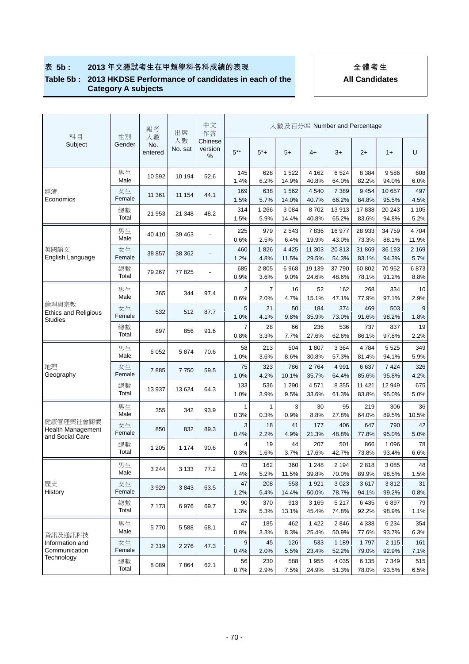#### **Table 5b : 2013 HKDSE Performance of candidates in each of the Category A subjects**

| 科目                                                       | 性別           | 報考<br>人數       | 出席            | 中文<br>作答                |                        |                 |                  |                  |                  | 人數及百分率 Number and Percentage |                  |                 |
|----------------------------------------------------------|--------------|----------------|---------------|-------------------------|------------------------|-----------------|------------------|------------------|------------------|------------------------------|------------------|-----------------|
| Subject                                                  | Gender       | No.<br>entered | 人數<br>No. sat | Chinese<br>version<br>% | $5***$                 | $5*+$           | $5+$             | 4+               | $3+$             | $2+$                         | $1+$             | U               |
|                                                          | 男生<br>Male   | 10 592         | 10 194        | 52.6                    | 145<br>1.4%            | 628<br>6.2%     | 1 5 2 2<br>14.9% | 4 1 6 2<br>40.8% | 6524<br>64.0%    | 8 3 8 4<br>82.2%             | 9586<br>94.0%    | 608<br>6.0%     |
| 經濟<br>Economics                                          | 女生<br>Female | 11 361         | 11 154        | 44.1                    | 169<br>1.5%            | 638<br>5.7%     | 1 5 6 2<br>14.0% | 4540<br>40.7%    | 7 3 8 9<br>66.2% | 9454<br>84.8%                | 10 657<br>95.5%  | 497<br>4.5%     |
|                                                          | 總數<br>Total  | 21 953         | 21 348        | 48.2                    | 314<br>1.5%            | 1 2 6 6<br>5.9% | 3 0 8 4<br>14.4% | 8702<br>40.8%    | 13913<br>65.2%   | 17838<br>83.6%               | 20 243<br>94.8%  | 1 1 0 5<br>5.2% |
|                                                          | 男生<br>Male   | 40 410         | 39 463        |                         | 225<br>0.6%            | 979<br>2.5%     | 2 5 4 3<br>6.4%  | 7836<br>19.9%    | 16 977<br>43.0%  | 28 933<br>73.3%              | 34 759<br>88.1%  | 4704<br>11.9%   |
| 英國語文<br>English Language                                 | 女生<br>Female | 38 857         | 38 362        |                         | 460<br>1.2%            | 1826<br>4.8%    | 4 4 2 5<br>11.5% | 11 303<br>29.5%  | 20813<br>54.3%   | 31 869<br>83.1%              | 36 193<br>94.3%  | 2 1 6 9<br>5.7% |
|                                                          | 總數<br>Total  | 79 267         | 77825         |                         | 685<br>0.9%            | 2805<br>3.6%    | 6968<br>9.0%     | 19 139<br>24.6%  | 37 790<br>48.6%  | 60 802<br>78.1%              | 70 952<br>91.2%  | 6873<br>8.8%    |
|                                                          | 男生<br>Male   | 365            | 344           | 97.4                    | $\overline{2}$<br>0.6% | 7<br>2.0%       | 16<br>4.7%       | 52<br>15.1%      | 162<br>47.1%     | 268<br>77.9%                 | 334<br>97.1%     | 10<br>2.9%      |
| 倫理與宗教<br><b>Ethics and Religious</b>                     | 女生<br>Female | 532            | 512           | 87.7                    | 5<br>1.0%              | 21<br>4.1%      | 50<br>9.8%       | 184<br>35.9%     | 374<br>73.0%     | 469<br>91.6%                 | 503<br>98.2%     | 9<br>1.8%       |
| <b>Studies</b>                                           | 總數<br>Total  | 897            | 856           | 91.6                    | 7<br>0.8%              | 28<br>3.3%      | 66<br>7.7%       | 236<br>27.6%     | 536<br>62.6%     | 737<br>86.1%                 | 837<br>97.8%     | 19<br>2.2%      |
|                                                          | 男生<br>Male   | 6 0 5 2        | 5874          | 70.6                    | 58<br>1.0%             | 213<br>3.6%     | 504<br>8.6%      | 1807<br>30.8%    | 3 3 6 4<br>57.3% | 4784<br>81.4%                | 5 5 2 5<br>94.1% | 349<br>5.9%     |
| 地理<br>Geography                                          | 女生<br>Female | 7885           | 7750          | 59.5                    | 75<br>1.0%             | 323<br>4.2%     | 786<br>10.1%     | 2764<br>35.7%    | 4 9 9 1<br>64.4% | 6637<br>85.6%                | 7 4 2 4<br>95.8% | 326<br>4.2%     |
|                                                          | 總數<br>Total  | 13 937         | 13 6 24       | 64.3                    | 133<br>1.0%            | 536<br>3.9%     | 1 2 9 0<br>9.5%  | 4571<br>33.6%    | 8 3 5 5<br>61.3% | 11 421<br>83.8%              | 12 949<br>95.0%  | 675<br>5.0%     |
|                                                          | 男生<br>Male   | 355            | 342           | 93.9                    | 1<br>0.3%              | 1<br>0.3%       | 3<br>0.9%        | 30<br>8.8%       | 95<br>27.8%      | 219<br>64.0%                 | 306<br>89.5%     | 36<br>10.5%     |
| 健康管理與社會關懷<br><b>Health Management</b><br>and Social Care | 女生<br>Female | 850            | 832           | 89.3                    | 3<br>0.4%              | 18<br>2.2%      | 41<br>4.9%       | 177<br>21.3%     | 406<br>48.8%     | 647<br>77.8%                 | 790<br>95.0%     | 42<br>5.0%      |
|                                                          | 總數<br>Total  | 1 2 0 5        | 1 1 7 4       | 90.6                    | 4<br>0.3%              | 19<br>1.6%      | 44<br>3.7%       | 207<br>17.6%     | 501<br>42.7%     | 866<br>73.8%                 | 1 0 9 6<br>93.4% | 78<br>6.6%      |
|                                                          | 男生<br>Male   | 3 2 4 4        | 3 1 3 3       | 77.2                    | 43<br>1.4%             | 162<br>5.2%     | 360<br>11.5%     | 1 2 4 8<br>39.8% | 2 194<br>70.0%   | 2818<br>89.9%                | 3 0 8 5<br>98.5% | 48<br>1.5%      |
| 歷史<br>History                                            | 女生<br>Female | 3929           | 3843          | 63.5                    | 47<br>1.2%             | 208<br>5.4%     | 553<br>14.4%     | 1921<br>50.0%    | 3 0 2 3<br>78.7% | 3617<br>94.1%                | 3812<br>99.2%    | 31<br>0.8%      |
|                                                          | 總數<br>Total  | 7 1 7 3        | 6976          | 69.7                    | 90<br>1.3%             | 370<br>5.3%     | 913<br>13.1%     | 3 1 6 9<br>45.4% | 5 2 1 7<br>74.8% | 6435<br>92.2%                | 6897<br>98.9%    | 79<br>1.1%      |
|                                                          | 男生<br>Male   | 5770           | 5 5 8 8       | 68.1                    | 47<br>0.8%             | 185<br>3.3%     | 462<br>8.3%      | 1422<br>25.4%    | 2846<br>50.9%    | 4 3 3 8<br>77.6%             | 5 2 3 4<br>93.7% | 354<br>6.3%     |
| 資訊及通訊科技<br>Information and<br>Communication              | 女生<br>Female | 2 3 1 9        | 2 2 7 6       | 47.3                    | 9<br>0.4%              | 45<br>2.0%      | 126<br>5.5%      | 533<br>23.4%     | 1 1 8 9<br>52.2% | 1797<br>79.0%                | 2 1 1 5<br>92.9% | 161<br>7.1%     |
| Technology                                               | 總數<br>Total  | 8 0 8 9        | 7864          | 62.1                    | 56<br>0.7%             | 230<br>2.9%     | 588<br>7.5%      | 1955<br>24.9%    | 4 0 3 5<br>51.3% | 6 1 3 5<br>78.0%             | 7 3 4 9<br>93.5% | 515<br>6.5%     |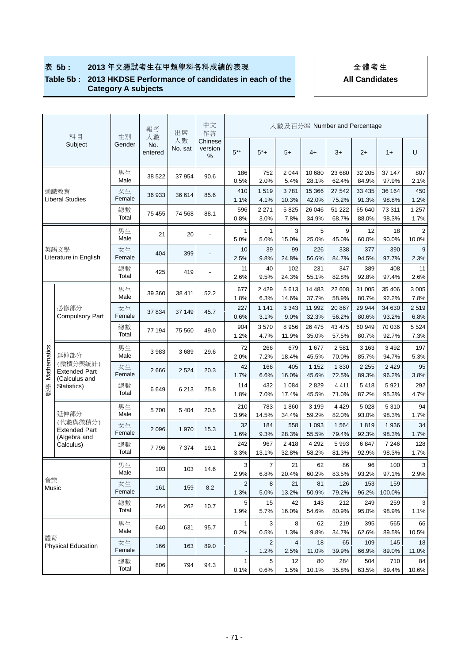### **Table 5b : 2013 HKDSE Performance of candidates in each of the Category A subjects**

 **All Candidates** 

|             | 科目                                                | 性別           | 報考                   | 出席            | 中文<br>作答                 |                        |                        |                  | 人數及百分率 Number and Percentage |                  |                  |                  |                          |
|-------------|---------------------------------------------------|--------------|----------------------|---------------|--------------------------|------------------------|------------------------|------------------|------------------------------|------------------|------------------|------------------|--------------------------|
|             | Subject                                           | Gender       | 人數<br>No.<br>entered | 人數<br>No. sat | Chinese<br>version<br>%  | $5***$                 | $5^*+$                 | $5+$             | $4+$                         | $3+$             | $2+$             | $1+$             | U                        |
|             |                                                   | 男生<br>Male   | 38 522               | 37 954        | 90.6                     | 186<br>0.5%            | 752<br>2.0%            | 2 0 4 4<br>5.4%  | 10 680<br>28.1%              | 23 680<br>62.4%  | 32 205<br>84.9%  | 37 147<br>97.9%  | 807<br>2.1%              |
|             | 通識教育<br>Liberal Studies                           | 女生<br>Female | 36 933               | 36 614        | 85.6                     | 410<br>1.1%            | 1519<br>4.1%           | 3781<br>10.3%    | 15 366<br>42.0%              | 27 542<br>75.2%  | 33 4 35<br>91.3% | 36 164<br>98.8%  | 450<br>1.2%              |
|             |                                                   | 總數<br>Total  | 75 455               | 74 568        | 88.1                     | 596<br>0.8%            | 2 2 7 1<br>3.0%        | 5825<br>7.8%     | 26 046<br>34.9%              | 51 222<br>68.7%  | 65 640<br>88.0%  | 73 311<br>98.3%  | 1 257<br>1.7%            |
|             |                                                   | 男生<br>Male   | 21                   | 20            | $\blacksquare$           | 1<br>5.0%              | $\mathbf{1}$<br>5.0%   | 3<br>15.0%       | 5<br>25.0%                   | 9<br>45.0%       | 12<br>60.0%      | 18<br>90.0%      | 2<br>10.0%               |
|             | 英語文學<br>Literature in English                     | 女生<br>Female | 404                  | 399           | $\overline{\phantom{m}}$ | 10<br>2.5%             | 39<br>9.8%             | 99<br>24.8%      | 226<br>56.6%                 | 338<br>84.7%     | 377<br>94.5%     | 390<br>97.7%     | 9<br>2.3%                |
|             |                                                   | 總數<br>Total  | 425                  | 419           |                          | 11<br>2.6%             | 40<br>9.5%             | 102<br>24.3%     | 231<br>55.1%                 | 347<br>82.8%     | 389<br>92.8%     | 408<br>97.4%     | 11<br>2.6%               |
|             |                                                   | 男生<br>Male   | 39 360               | 38 411        | 52.2                     | 677<br>1.8%            | 2 4 2 9<br>6.3%        | 5613<br>14.6%    | 14 4 83<br>37.7%             | 22 608<br>58.9%  | 31 005<br>80.7%  | 35 406<br>92.2%  | 3 0 0 5<br>7.8%          |
|             | 必修部分<br><b>Compulsory Part</b>                    | 女生<br>Female | 37 834               | 37 149        | 45.7                     | 227<br>0.6%            | 1 1 4 1<br>3.1%        | 3 3 4 3<br>9.0%  | 11 992<br>32.3%              | 20 867<br>56.2%  | 29 944<br>80.6%  | 34 630<br>93.2%  | 2519<br>6.8%             |
|             |                                                   | 總數<br>Total  | 77 194               | 75 560        | 49.0                     | 904<br>1.2%            | 3570<br>4.7%           | 8 9 5 6<br>11.9% | 26 475<br>35.0%              | 43 475<br>57.5%  | 60 949<br>80.7%  | 70 036<br>92.7%  | 5 5 2 4<br>7.3%          |
|             | 延伸部分                                              | 男生<br>Male   | 3983                 | 3689          | 29.6                     | 72<br>2.0%             | 266<br>7.2%            | 679<br>18.4%     | 1677<br>45.5%                | 2581<br>70.0%    | 3 1 6 3<br>85.7% | 3 4 9 2<br>94.7% | 197<br>5.3%              |
| Mathematics | (微積分與統計)<br><b>Extended Part</b><br>(Calculus and | 女生<br>Female | 2666                 | 2 5 24        | 20.3                     | 42<br>1.7%             | 166<br>6.6%            | 405<br>16.0%     | 1 1 5 2<br>45.6%             | 1830<br>72.5%    | 2 2 5 5<br>89.3% | 2 4 2 9<br>96.2% | 95<br>3.8%               |
| 뽺<br>數      | Statistics)                                       | 總數<br>Total  | 6649                 | 6 2 1 3       | 25.8                     | 114<br>1.8%            | 432<br>7.0%            | 1 0 8 4<br>17.4% | 2829<br>45.5%                | 4411<br>71.0%    | 5418<br>87.2%    | 5921<br>95.3%    | 292<br>4.7%              |
|             | 延伸部分                                              | 男生<br>Male   | 5700                 | 5 4 0 4       | 20.5                     | 210<br>3.9%            | 783<br>14.5%           | 1860<br>34.4%    | 3 1 9 9<br>59.2%             | 4 4 2 9<br>82.0% | 5 0 28<br>93.0%  | 5310<br>98.3%    | 94<br>1.7%               |
|             | (代數與微積分)<br><b>Extended Part</b><br>(Algebra and  | 女生<br>Female | 2 0 9 6              | 1 970         | 15.3                     | 32<br>1.6%             | 184<br>9.3%            | 558<br>28.3%     | 1 0 9 3<br>55.5%             | 1564<br>79.4%    | 1819<br>92.3%    | 1936<br>98.3%    | 34<br>1.7%               |
|             | Calculus)                                         | 總數<br>Total  | 7796                 | 7 3 7 4       | 19.1                     | 242<br>3.3%            | 967<br>13.1%           | 2418<br>32.8%    | 4 2 9 2<br>58.2%             | 5993<br>81.3%    | 6847<br>92.9%    | 7 2 4 6<br>98.3% | 128<br>1.7%              |
|             |                                                   | 男生<br>Male   | 103                  | 103           | 14.6                     | 3<br>2.9%              | 7<br>6.8%              | 21<br>20.4%      | 62<br>60.2%                  | 86<br>83.5%      | 96<br>93.2%      | 100<br>97.1%     | 3<br>2.9%                |
| 音樂<br>Music |                                                   | 女生<br>Female | 161                  | 159           | 8.2                      | $\overline{2}$<br>1.3% | 8<br>5.0%              | 21<br>13.2%      | 81<br>50.9%                  | 126<br>79.2%     | 153<br>96.2%     | 159<br>100.0%    | $\overline{\phantom{a}}$ |
|             |                                                   | 總數<br>Total  | 264                  | 262           | 10.7                     | 5<br>1.9%              | 15<br>5.7%             | 42<br>16.0%      | 143<br>54.6%                 | 212<br>80.9%     | 249<br>95.0%     | 259<br>98.9%     | 3<br>1.1%                |
|             |                                                   | 男生<br>Male   | 640                  | 631           | 95.7                     | 1<br>0.2%              | 3<br>0.5%              | 8<br>1.3%        | 62<br>9.8%                   | 219<br>34.7%     | 395<br>62.6%     | 565<br>89.5%     | 66<br>10.5%              |
| 體育          | <b>Physical Education</b>                         | 女生<br>Female | 166                  | 163           | 89.0                     |                        | $\overline{2}$<br>1.2% | 4<br>2.5%        | 18<br>11.0%                  | 65<br>39.9%      | 109<br>66.9%     | 145<br>89.0%     | 18<br>11.0%              |

總數

總數 | 806 794 94.3 | 1 5 12 80 284 504 710 84<br>Total | 806 794 94.3 | 0.1% 0.6% 1.5% 10.1% 35.8% 63.5% 89.4% 10.6%

0.1% 0.6% 1.5% 10.1% 35.8% 63.5% 89.4% 10.6%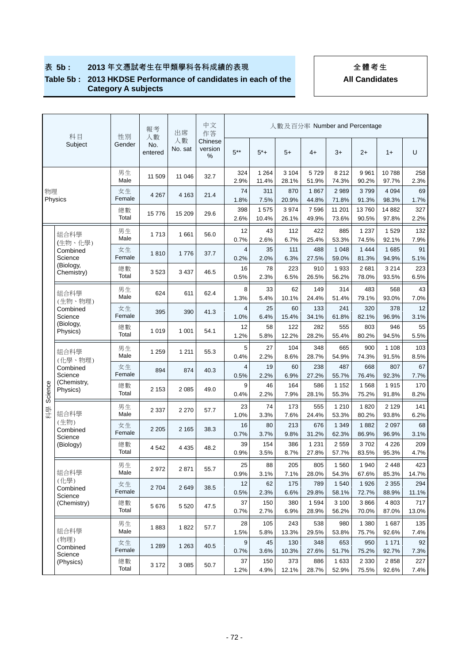#### **Table 5b : 2013 HKDSE Performance of candidates in each of the Category A subjects**

| All Candidates |  |
|----------------|--|
|                |  |

|         | 科目                             | 性別           | 報考                   | 出席            | 中文<br>作答                |                    |                     | 人數及百分率 Number and Percentage |                       |                         |                           |                        |                     |
|---------|--------------------------------|--------------|----------------------|---------------|-------------------------|--------------------|---------------------|------------------------------|-----------------------|-------------------------|---------------------------|------------------------|---------------------|
|         | Subject                        | Gender       | 人數<br>No.<br>entered | 人數<br>No. sat | Chinese<br>version<br>% | $5***$             | $5*+$               | $5+$                         | $4+$                  | $3+$                    | $2+$                      | $1+$                   | U                   |
|         |                                | 男生<br>Male   | 11 509               | 11 046        | 32.7                    | 324<br>2.9%        | 1 2 6 4<br>11.4%    | 3 1 0 4<br>28.1%             | 5729<br>51.9%         | 8 2 1 2<br>74.3%        | 9961<br>90.2%             | 10788<br>97.7%         | 258<br>2.3%         |
| 物理      | Physics                        | 女生<br>Female | 4 2 6 7              | 4 1 6 3       | 21.4                    | 74<br>1.8%         | 311<br>7.5%         | 870<br>20.9%                 | 1867<br>44.8%         | 2989<br>71.8%           | 3799<br>91.3%             | 4 0 9 4<br>98.3%       | 69<br>1.7%          |
|         |                                | 總數<br>Total  | 15776                | 15 209        | 29.6                    | 398<br>2.6%        | 1575<br>10.4%       | 3 9 7 4<br>26.1%             | 7596<br>49.9%         | 11 201<br>73.6%         | 13760<br>90.5%            | 14 8 82<br>97.8%       | 327<br>2.2%         |
|         | 組合科學                           | 男生<br>Male   | 1713                 | 1 661         | 56.0                    | 12<br>0.7%         | 43<br>2.6%          | 112<br>6.7%                  | 422<br>25.4%          | 885<br>53.3%            | 1 2 3 7<br>74.5%          | 1529<br>92.1%          | 132<br>7.9%         |
|         | (生物、化學)<br>Combined<br>Science | 女生<br>Female | 1810                 | 1776          | 37.7                    | 4<br>0.2%          | 35<br>2.0%          | 111<br>6.3%                  | 488<br>27.5%          | 1 0 4 8<br>59.0%        | 1 4 4 4<br>81.3%          | 1685<br>94.9%          | 91<br>5.1%          |
|         | (Biology,<br>Chemistry)        | 總數<br>Total  | 3523                 | 3 4 3 7       | 46.5                    | 16<br>0.5%         | 78<br>2.3%          | 223<br>6.5%                  | 910<br>26.5%          | 1 9 3 3<br>56.2%        | 2681<br>78.0%             | 3 2 1 4<br>93.5%       | 223<br>6.5%         |
|         | 組合科學                           | 男生<br>Male   | 624                  | 611           | 62.4                    | 8<br>1.3%          | 33<br>5.4%          | 62<br>10.1%                  | 149<br>24.4%          | 314<br>51.4%            | 483<br>79.1%              | 568<br>93.0%           | 43<br>7.0%          |
|         | (生物、物理)<br>Combined<br>Science | 女生<br>Female | 395                  | 390           | 41.3                    | 4<br>1.0%          | 25<br>6.4%          | 60<br>15.4%                  | 133<br>34.1%          | 241<br>61.8%            | 320<br>82.1%              | 378<br>96.9%           | 12<br>3.1%          |
|         | (Biology,<br>Physics)          | 總數<br>Total  | 1019                 | 1 0 0 1       | 54.1                    | 12<br>1.2%         | 58<br>5.8%          | 122<br>12.2%                 | 282<br>28.2%          | 555<br>55.4%            | 803<br>80.2%              | 946<br>94.5%           | 55<br>5.5%          |
|         | 組合科學                           | 男生<br>Male   | 1 2 5 9              | 1 2 1 1       | 55.3                    | 5<br>0.4%          | 27<br>2.2%          | 104<br>8.6%                  | 348<br>28.7%          | 665<br>54.9%            | 900<br>74.3%              | 1 1 0 8<br>91.5%       | 103<br>8.5%         |
|         | (化學、物理)<br>Combined<br>Science | 女生<br>Female | 894                  | 874           | 40.3                    | 4<br>0.5%          | 19<br>2.2%          | 60<br>6.9%                   | 238<br>27.2%          | 487<br>55.7%            | 668<br>76.4%              | 807<br>92.3%           | 67<br>7.7%          |
| Science | (Chemistry,<br>Physics)        | 總數<br>Total  | 2 1 5 3              | 2 0 8 5       | 49.0                    | 9<br>0.4%          | 46<br>2.2%          | 164<br>7.9%                  | 586<br>28.1%          | 1 1 5 2<br>55.3%        | 1568<br>75.2%             | 1915<br>91.8%          | 170<br>8.2%         |
| 科學      | 組合科學                           | 男生<br>Male   | 2 3 3 7              | 2 2 7 0       | 57.7                    | 23<br>1.0%         | 74<br>3.3%          | 173<br>7.6%                  | 555<br>24.4%          | 1 2 1 0<br>53.3%        | 1820<br>80.2%             | 2 1 2 9<br>93.8%       | 141<br>6.2%         |
|         | (生物)<br>Combined               | 女生<br>Female | 2 2 0 5              | 2 1 6 5       | 38.3                    | 16<br>0.7%         | 80<br>3.7%          | 213<br>9.8%                  | 676<br>31.2%          | 1 3 4 9<br>62.3%        | 1882<br>86.9%             | 2 0 9 7<br>96.9%       | 68<br>3.1%          |
|         | Science<br>(Biology)           | 總數<br>Total  | 4 5 4 2              | 4 4 3 5       | 48.2                    | 39<br>0.9%         | 154<br>3.5%         | 386<br>8.7%                  | 1 2 3 1<br>27.8%      | 2559<br>57.7%           | 3702<br>83.5%             | 4 2 2 6<br>95.3%       | 209<br>4.7%         |
|         | 組合科學                           | 男生<br>Male   | 2972                 | 2 8 7 1       | 55.7                    | 25<br>0.9%         | 88<br>3.1%          | 205<br>7.1%                  | 805<br>28.0%          | 1 5 6 0<br>54.3%        | 1940<br>67.6%             | 2448<br>85.3%          | 423<br>14.7%        |
|         | (化學)<br>Combined               | 女生<br>Female | 2 7 0 4              | 2649          | 38.5                    | 12<br>0.5%         | 62<br>2.3%          | 175<br>6.6%                  | 789<br>29.8%          | 1 540<br>58.1%          | 1926<br>72.7%             | 2 3 5 5<br>88.9%       | 294<br>11.1%        |
|         | Science<br>(Chemistry)         | 總數<br>Total  | 5676                 | 5 5 20        | 47.5                    | 37<br>0.7%         | 150<br>2.7%         | 380<br>6.9%                  | 1594<br>28.9%         | 3 100<br>56.2%          | 3866<br>70.0%             | 4 8 0 3<br>87.0%       | 717<br>13.0%        |
|         | 組合科學                           | 男生<br>Male   | 1883                 | 1822          | 57.7                    | 28                 | 105                 | 243                          | 538                   | 980                     | 1 3 8 0                   | 1687                   | 135                 |
|         | (物理)<br>Combined               | 女生<br>Female | 1 2 8 9              | 1 2 6 3       | 40.5                    | 1.5%<br>9          | 5.8%<br>45          | 13.3%<br>130                 | 29.5%<br>348          | 53.8%<br>653            | 75.7%<br>950              | 92.6%<br>1 1 7 1       | 7.4%<br>92          |
|         | Science<br>(Physics)           | 總數<br>Total  | 3 1 7 2              | 3 0 8 5       | 50.7                    | 0.7%<br>37<br>1.2% | 3.6%<br>150<br>4.9% | 10.3%<br>373<br>12.1%        | 27.6%<br>886<br>28.7% | 51.7%<br>1 633<br>52.9% | 75.2%<br>2 3 3 0<br>75.5% | 92.7%<br>2858<br>92.6% | 7.3%<br>227<br>7.4% |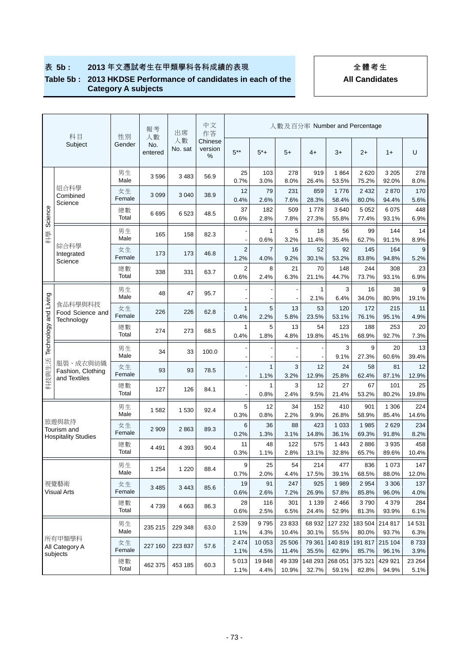#### **Table 5b : 2013 HKDSE Performance of candidates in each of the Category A subjects**

|                       | 科目                            | 性別           | 報考<br>人數       | 出席            | 中文<br>作答                |                        |                      |                    |                      |                       | 人數及百分率 Number and Percentage |                       |                    |
|-----------------------|-------------------------------|--------------|----------------|---------------|-------------------------|------------------------|----------------------|--------------------|----------------------|-----------------------|------------------------------|-----------------------|--------------------|
|                       | Subject                       | Gender       | No.<br>entered | 人數<br>No. sat | Chinese<br>version<br>% | $5***$                 | $5*+$                | $5+$               | $4+$                 | $3+$                  | $2+$                         | $1+$                  | U                  |
|                       |                               | 男生<br>Male   | 3596           | 3 4 8 3       | 56.9                    | 25<br>0.7%             | 103<br>3.0%          | 278<br>8.0%        | 919<br>26.4%         | 1864<br>53.5%         | 2620<br>75.2%                | 3 2 0 5<br>92.0%      | 278<br>8.0%        |
|                       | 組合科學<br>Combined<br>Science   | 女生<br>Female | 3 0 9 9        | 3 0 4 0       | 38.9                    | 12<br>0.4%             | 79<br>2.6%           | 231<br>7.6%        | 859<br>28.3%         | 1776<br>58.4%         | 2 4 3 2<br>80.0%             | 2870<br>94.4%         | 170<br>5.6%        |
| Science               |                               | 總數<br>Total  | 6695           | 6523          | 48.5                    | 37<br>0.6%             | 182<br>2.8%          | 509<br>7.8%        | 1778<br>27.3%        | 3640<br>55.8%         | 5 0 5 2<br>77.4%             | 6075<br>93.1%         | 448<br>6.9%        |
| 科學                    |                               | 男生<br>Male   | 165            | 158           | 82.3                    |                        | 1<br>0.6%            | 5<br>3.2%          | 18<br>11.4%          | 56<br>35.4%           | 99<br>62.7%                  | 144<br>91.1%          | 14<br>8.9%         |
|                       | 綜合科學<br>Integrated            | 女生<br>Female | 173            | 173           | 46.8                    | $\overline{c}$<br>1.2% | 7<br>4.0%            | 16<br>9.2%         | 52<br>30.1%          | 92<br>53.2%           | 145<br>83.8%                 | 164<br>94.8%          | 9<br>5.2%          |
|                       | Science                       | 總數<br>Total  | 338            | 331           | 63.7                    | 2<br>0.6%              | 8<br>2.4%            | 21<br>6.3%         | 70<br>21.1%          | 148<br>44.7%          | 244<br>73.7%                 | 308<br>93.1%          | 23<br>6.9%         |
|                       |                               | 男生<br>Male   | 48             | 47            | 95.7                    |                        |                      |                    | 1                    | 3                     | 16                           | 38                    | 9                  |
|                       | 食品科學與科技<br>Food Science and   | 女生<br>Female | 226            | 226           | 62.8                    | $\mathbf{1}$           | $\blacksquare$<br>5  | 13                 | 2.1%<br>53           | 6.4%<br>120           | 34.0%<br>172                 | 80.9%<br>215          | 19.1%<br>11        |
| Technology and Living | Technology                    | 總數<br>Total  | 274            | 273           | 68.5                    | 0.4%<br>1<br>0.4%      | 2.2%<br>5<br>1.8%    | 5.8%<br>13<br>4.8% | 23.5%<br>54<br>19.8% | 53.1%<br>123<br>45.1% | 76.1%<br>188<br>68.9%        | 95.1%<br>253<br>92.7% | 4.9%<br>20<br>7.3% |
|                       |                               | 男生           | 34             | 33            | 100.0                   |                        |                      |                    |                      | 3                     | 9                            | 20                    | 13                 |
|                       | 服裝、成衣與紡織<br>Fashion, Clothing | Male<br>女生   | 93             | 93            | 78.5                    |                        | $\mathbf{1}$         | 3                  | 12                   | 9.1%<br>24            | 27.3%<br>58                  | 60.6%<br>81           | 39.4%<br>12        |
| 科技與生活                 | and Textiles                  | Female<br>總數 | 127            | 126           | 84.1                    |                        | 1.1%<br>$\mathbf{1}$ | 3.2%<br>3          | 12.9%<br>12          | 25.8%<br>27           | 62.4%<br>67                  | 87.1%<br>101          | 12.9%<br>25        |
|                       |                               | Total<br>男生  | 1582           | 1 5 3 0       | 92.4                    | 5                      | 0.8%<br>12           | 2.4%<br>34         | 9.5%<br>152          | 21.4%<br>410          | 53.2%<br>901                 | 80.2%<br>1 306        | 19.8%<br>224       |
|                       | 旅遊與款待<br>Tourism and          | Male<br>女生   | 2 9 0 9        | 2 8 6 3       | 89.3                    | 0.3%<br>6              | 0.8%<br>36           | 2.2%<br>88         | 9.9%<br>423          | 26.8%<br>1 0 3 3      | 58.9%<br>1985                | 85.4%<br>2629         | 14.6%<br>234       |
|                       | <b>Hospitality Studies</b>    | Female<br>總數 |                |               |                         | 0.2%<br>11             | 1.3%<br>48           | 3.1%<br>122        | 14.8%<br>575         | 36.1%<br>1 4 4 3      | 69.3%<br>2886                | 91.8%<br>3935         | 8.2%<br>458        |
|                       |                               | Total        | 4 4 9 1        | 4 3 9 3       | 90.4                    | 0.3%                   | 1.1%                 | 2.8%               | 13.1%                | 32.8%                 | 65.7%                        | 89.6%                 | 10.4%              |
|                       |                               | 男生<br>Male   | 1 2 5 4        | 1 2 2 0       | 88.4                    | 9<br>0.7%              | 25<br>2.0%           | 54<br>4.4%         | 214<br>17.5%         | 477<br>39.1%          | 836<br>68.5%                 | 1 0 7 3<br>88.0%      | 147<br>12.0%       |
|                       | 視覺藝術<br><b>Visual Arts</b>    | 女生<br>Female | 3 4 8 5        | 3 4 4 3       | 85.6                    | 19<br>0.6%             | 91<br>2.6%           | 247<br>7.2%        | 925<br>26.9%         | 1989<br>57.8%         | 2954<br>85.8%                | 3 3 0 6<br>96.0%      | 137<br>4.0%        |
|                       |                               | 總數<br>Total  | 4739           | 4 6 63        | 86.3                    | 28<br>0.6%             | 116<br>2.5%          | 301<br>6.5%        | 1 1 3 9<br>24.4%     | 2 4 6 6<br>52.9%      | 3790<br>81.3%                | 4 3 7 9<br>93.9%      | 284<br>6.1%        |
|                       |                               | 男生<br>Male   | 235 215        | 229 348       | 63.0                    | 2 5 3 9<br>1.1%        | 9795<br>4.3%         | 23 833<br>10.4%    | 68 932<br>30.1%      | 127 232<br>55.5%      | 183 504<br>80.0%             | 214 817<br>93.7%      | 14 531<br>6.3%     |
|                       | 所有甲類學科<br>All Category A      | 女生<br>Female | 227 160        | 223 837       | 57.6                    | 2 4 7 4<br>1.1%        | 10 053<br>4.5%       | 25 506<br>11.4%    | 79 361<br>35.5%      | 140 819<br>62.9%      | 191 817<br>85.7%             | 215 104<br>96.1%      | 8733<br>3.9%       |
|                       | subjects                      | 總數<br>Total  | 462 375        | 453 185       | 60.3                    | 5013<br>1.1%           | 19848<br>4.4%        | 49 339<br>10.9%    | 148 293<br>32.7%     | 268 051<br>59.1%      | 375 321<br>82.8%             | 429 921<br>94.9%      | 23 264<br>5.1%     |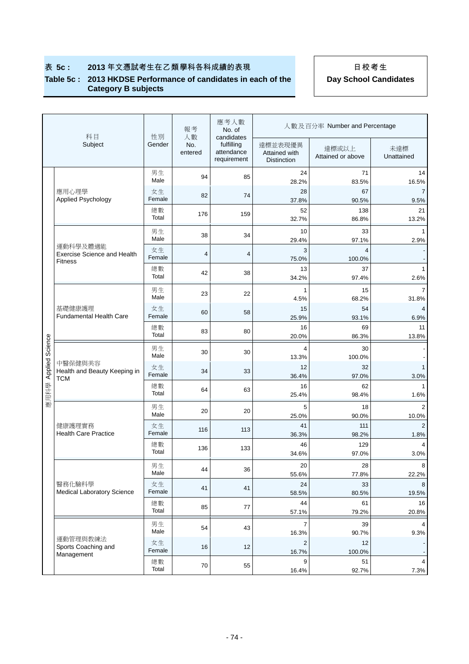#### **Table 5c : 2013 HKDSE Performance of candidates in each of the Category B subjects**

| 科目<br>性別<br>人數<br>candidates<br>Subject<br>Gender<br>No.<br>fulfilling<br>達標並表現優異<br>達標或以上<br>attendance<br>entered<br>Attained with<br>Attained or above<br>requirement<br><b>Distinction</b><br>男生<br>24<br>94<br>85<br>Male<br>28.2%<br>83.5% | 未達標<br>Unattained<br>14<br>71<br>16.5%<br>$\overline{7}$<br>67<br>9.5% |
|--------------------------------------------------------------------------------------------------------------------------------------------------------------------------------------------------------------------------------------------------|------------------------------------------------------------------------|
|                                                                                                                                                                                                                                                  |                                                                        |
|                                                                                                                                                                                                                                                  |                                                                        |
| 應用心理學<br>女生<br>28<br>82<br>74<br><b>Applied Psychology</b><br>Female<br>37.8%<br>90.5%                                                                                                                                                           |                                                                        |
| 總數<br>138<br>52<br>176<br>159<br>Total<br>32.7%<br>86.8%                                                                                                                                                                                         | 21<br>13.2%                                                            |
| 男生<br>10<br>34<br>38<br>Male<br>29.4%<br>97.1%                                                                                                                                                                                                   | 1<br>33<br>2.9%                                                        |
| 運動科學及體適能<br>女生<br>3<br><b>Exercise Science and Health</b><br>4<br>$\overline{4}$<br>Female<br>75.0%<br>100.0%                                                                                                                                    | 4                                                                      |
| <b>Fitness</b><br>總數<br>13<br>42<br>38<br>Total<br>34.2%<br>97.4%                                                                                                                                                                                | 37<br>$\mathbf{1}$                                                     |
| 男生<br>1<br>23<br>22                                                                                                                                                                                                                              | 2.6%<br>$\overline{7}$<br>15                                           |
| Male<br>4.5%<br>68.2%<br>基礎健康護理<br>女生<br>15                                                                                                                                                                                                      | 31.8%<br>54<br>4                                                       |
| 60<br>58<br><b>Fundamental Health Care</b><br>Female<br>25.9%<br>93.1%                                                                                                                                                                           | 6.9%                                                                   |
| 總數<br>16<br>83<br>80<br>Total<br>20.0%<br>86.3%                                                                                                                                                                                                  | 69<br>11<br>13.8%                                                      |
| 應用科學 Applied Science<br>男生<br>$\overline{4}$<br>30<br>30<br>Male<br>13.3%<br>100.0%                                                                                                                                                              | 30                                                                     |
| 中醫保健與美容<br>女生<br>12<br>Health and Beauty Keeping in<br>34<br>33<br>Female<br>36.4%<br>97.0%                                                                                                                                                      | 32<br>$\mathbf{1}$<br>3.0%                                             |
| TCM<br>總數<br>16<br>64<br>63<br>Total<br>25.4%<br>98.4%                                                                                                                                                                                           | 62<br>1<br>1.6%                                                        |
| 5<br>男生<br>20<br>20<br>Male                                                                                                                                                                                                                      | $\overline{2}$<br>18                                                   |
| 25.0%<br>90.0%<br>健康護理實務<br>女生<br>41<br>116<br>113<br><b>Health Care Practice</b><br>Female<br>36.3%<br>98.2%                                                                                                                                    | 10.0%<br>111<br>$\overline{2}$<br>1.8%                                 |
| 總數<br>46<br>136<br>133<br>Total<br>34.6%<br>97.0%                                                                                                                                                                                                | 129<br>4<br>3.0%                                                       |
| 20<br>男生                                                                                                                                                                                                                                         | 28<br>8                                                                |
| 36<br>44<br>Male<br>55.6%<br>77.8%                                                                                                                                                                                                               | 22.2%                                                                  |
| 醫務化驗科學<br>女生<br>24<br>41<br>41<br>Medical Laboratory Science<br>Female<br>58.5%<br>80.5%                                                                                                                                                         | 33<br>8<br>19.5%                                                       |
| 總數<br>44<br>85<br>77<br>Total<br>79.2%<br>57.1%                                                                                                                                                                                                  | 61<br>16<br>20.8%                                                      |
| 男生<br>7<br>43<br>54<br>Male<br>16.3%<br>90.7%                                                                                                                                                                                                    | 39<br>4<br>9.3%                                                        |
| 運動管理與教練法<br>女生<br>$\overline{c}$<br>Sports Coaching and<br>12<br>16<br>Female<br>16.7%<br>100.0%                                                                                                                                                 | 12                                                                     |
| Management<br>總數<br>9<br>55<br>70<br>Total<br>16.4%<br>92.7%                                                                                                                                                                                     | 4<br>51<br>7.3%                                                        |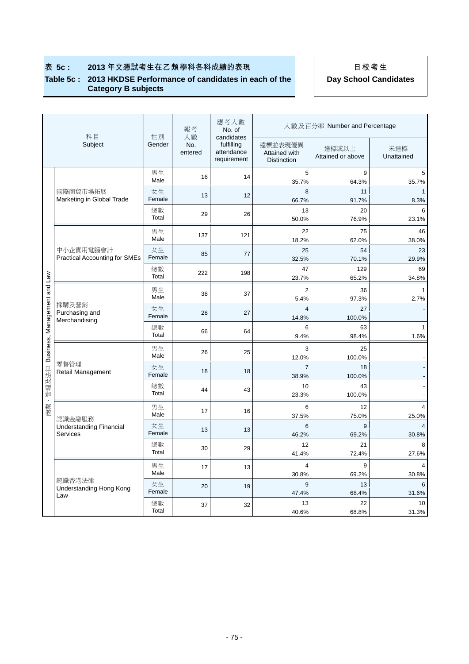#### **Table 5c : 2013 HKDSE Performance of candidates in each of the Category B subjects**

|                              | 科目                                                   | 性別           | 報考<br>人數       | 應考人數<br>No. of<br>candidates            | 人數及百分率 Number and Percentage                   |                            |                         |  |
|------------------------------|------------------------------------------------------|--------------|----------------|-----------------------------------------|------------------------------------------------|----------------------------|-------------------------|--|
|                              | Subject                                              | Gender       | No.<br>entered | fulfilling<br>attendance<br>requirement | 達標並表現優異<br>Attained with<br><b>Distinction</b> | 達標或以上<br>Attained or above | 未達標<br>Unattained       |  |
|                              |                                                      | 男生<br>Male   | 16             | 14                                      | 5<br>35.7%                                     | 9<br>64.3%                 | 5<br>35.7%              |  |
|                              | 國際商貿市場拓展<br>Marketing in Global Trade                | 女生<br>Female | 13             | 12                                      | 8<br>66.7%                                     | 11<br>91.7%                | 1<br>8.3%               |  |
|                              |                                                      | 總數<br>Total  | 29             | 26                                      | 13<br>50.0%                                    | 20<br>76.9%                | 6<br>23.1%              |  |
|                              |                                                      | 男生<br>Male   | 137            | 121                                     | 22<br>18.2%                                    | 75<br>62.0%                | 46<br>38.0%             |  |
|                              | 中小企實用電腦會計<br><b>Practical Accounting for SMEs</b>    | 女生<br>Female | 85             | 77                                      | 25<br>32.5%                                    | 54<br>70.1%                | 23<br>29.9%             |  |
|                              |                                                      | 總數<br>Total  | 222            | 198                                     | 47<br>23.7%                                    | 129<br>65.2%               | 69<br>34.8%             |  |
|                              |                                                      | 男生<br>Male   | 38             | 37                                      | $\overline{2}$<br>5.4%                         | 36<br>97.3%                | 1<br>2.7%               |  |
|                              | 採購及營銷<br>Purchasing and<br>Merchandising             | 女生<br>Female | 28             | 27                                      | $\overline{4}$<br>14.8%                        | 27<br>100.0%               |                         |  |
|                              |                                                      | 總數<br>Total  | 66             | 64                                      | 6<br>9.4%                                      | 63<br>98.4%                | $\mathbf{1}$<br>1.6%    |  |
| Business, Management and Law |                                                      | 男生<br>Male   | 26             | 25                                      | 3<br>12.0%                                     | 25<br>100.0%               |                         |  |
|                              | 零售管理<br>Retail Management                            | 女生<br>Female | 18             | 18                                      | $\overline{7}$<br>38.9%                        | 18<br>100.0%               |                         |  |
| 商業、管理及法律                     |                                                      | 總數<br>Total  | 44             | 43                                      | 10<br>23.3%                                    | 43<br>100.0%               |                         |  |
|                              |                                                      | 男生<br>Male   | 17             | 16                                      | 6<br>37.5%                                     | 12<br>75.0%                | 4<br>25.0%              |  |
|                              | 認識金融服務<br><b>Understanding Financial</b><br>Services | 女生<br>Female | 13             | 13                                      | 6<br>46.2%                                     | 9<br>69.2%                 | $\overline{4}$<br>30.8% |  |
|                              |                                                      | 總數<br>Total  | 30             | 29                                      | 12<br>41.4%                                    | 21<br>72.4%                | 8<br>27.6%              |  |
|                              |                                                      | 男生<br>Male   | 17             | 13                                      | 4<br>30.8%                                     | 9<br>69.2%                 | 4<br>30.8%              |  |
|                              | 認識香港法律<br>Understanding Hong Kong<br>Law             | 女生<br>Female | 20             | 19                                      | 9<br>47.4%                                     | 13<br>68.4%                | 6<br>31.6%              |  |
|                              |                                                      | 總數<br>Total  | 37             | 32                                      | 13<br>40.6%                                    | 22<br>68.8%                | 10<br>31.3%             |  |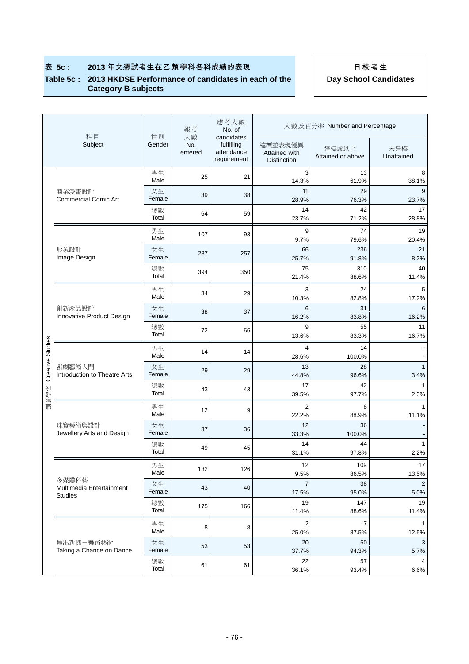#### **Table 5c : 2013 HKDSE Performance of candidates in each of the Category B subjects**

|                  | 科目                                            | 性別           | 報考             | 應考人數<br>No. of<br>人數<br>candidates      |                                                | 人數及百分率 Number and Percentage |                       |  |  |
|------------------|-----------------------------------------------|--------------|----------------|-----------------------------------------|------------------------------------------------|------------------------------|-----------------------|--|--|
|                  | Subject                                       | Gender       | No.<br>entered | fulfilling<br>attendance<br>requirement | 達標並表現優異<br>Attained with<br><b>Distinction</b> | 達標或以上<br>Attained or above   | 未達標<br>Unattained     |  |  |
|                  |                                               | 男生<br>Male   | 25             | 21                                      | 3<br>14.3%                                     | 13<br>61.9%                  | 8<br>38.1%            |  |  |
|                  | 商業漫畫設計<br><b>Commercial Comic Art</b>         | 女生<br>Female | 39             | 38                                      | 11<br>28.9%                                    | 29<br>76.3%                  | 9<br>23.7%            |  |  |
|                  |                                               | 總數<br>Total  | 64             | 59                                      | 14<br>23.7%                                    | 42<br>71.2%                  | 17<br>28.8%           |  |  |
|                  | 形象設計<br>Image Design                          | 男生<br>Male   | 107            | 93                                      | 9<br>9.7%                                      | 74<br>79.6%                  | 19<br>20.4%           |  |  |
|                  |                                               | 女生<br>Female | 287            | 257                                     | 66<br>25.7%                                    | 236<br>91.8%                 | 21<br>8.2%            |  |  |
|                  |                                               | 總數<br>Total  | 394            | 350                                     | 75<br>21.4%                                    | 310<br>88.6%                 | 40<br>11.4%           |  |  |
|                  |                                               | 男生           | 34             | 29                                      | 3                                              | 24                           | 5                     |  |  |
|                  | 創新產品設計                                        | Male<br>女生   | 38             | 37                                      | 10.3%<br>6                                     | 82.8%<br>31                  | 17.2%<br>6            |  |  |
|                  | Innovative Product Design                     | Female<br>總數 |                |                                         | 16.2%<br>9                                     | 83.8%<br>55                  | 16.2%<br>11           |  |  |
|                  |                                               | Total        | 72             | 66                                      | 13.6%                                          | 83.3%                        | 16.7%                 |  |  |
|                  |                                               | 男生<br>Male   | 14             | 14                                      | 4<br>28.6%                                     | 14<br>100.0%                 |                       |  |  |
| Creative Studies | 戲劇藝術入門<br><b>Introduction to Theatre Arts</b> | 女生<br>Female | 29             | 29                                      | 13<br>44.8%                                    | 28<br>96.6%                  | $\mathbf{1}$<br>3.4%  |  |  |
| 創意學習             |                                               | 總數<br>Total  | 43             | 43                                      | 17<br>39.5%                                    | 42<br>97.7%                  | $\mathbf{1}$<br>2.3%  |  |  |
|                  |                                               | 男生<br>Male   | 12             | 9                                       | $\overline{2}$<br>22.2%                        | 8<br>88.9%                   | $\mathbf{1}$<br>11.1% |  |  |
|                  | 珠寶藝術與設計<br>Jewellery Arts and Design          | 女生<br>Female | 37             | 36                                      | 12<br>33.3%                                    | 36<br>100.0%                 |                       |  |  |
|                  |                                               | 總數<br>Total  | 49             | 45                                      | 14<br>31.1%                                    | 44<br>97.8%                  | $\mathbf{1}$<br>2.2%  |  |  |
|                  |                                               | 男生           | 132            | 126                                     | 12                                             | 109                          | 17                    |  |  |
|                  | 多媒體科藝<br>Multimedia Entertainment             | Male<br>女生   | 43             | 40                                      | 9.5%<br>$\overline{7}$                         | 86.5%<br>38                  | 13.5%<br>2            |  |  |
|                  | <b>Studies</b>                                | Female<br>總數 |                |                                         | 17.5%<br>19                                    | 95.0%<br>147                 | 5.0%<br>19            |  |  |
|                  |                                               | Total        | 175            | 166                                     | 11.4%                                          | 88.6%                        | 11.4%                 |  |  |
|                  |                                               | 男生<br>Male   | 8              | 8                                       | 2<br>25.0%                                     | 7<br>87.5%                   | 1<br>12.5%            |  |  |
|                  | 舞出新機-舞蹈藝術<br>Taking a Chance on Dance         | 女生<br>Female | 53             | 53                                      | 20<br>37.7%                                    | 50<br>94.3%                  | 3<br>5.7%             |  |  |
|                  |                                               | 總數<br>Total  | 61             | 61                                      | 22<br>36.1%                                    | 57<br>93.4%                  | 4<br>6.6%             |  |  |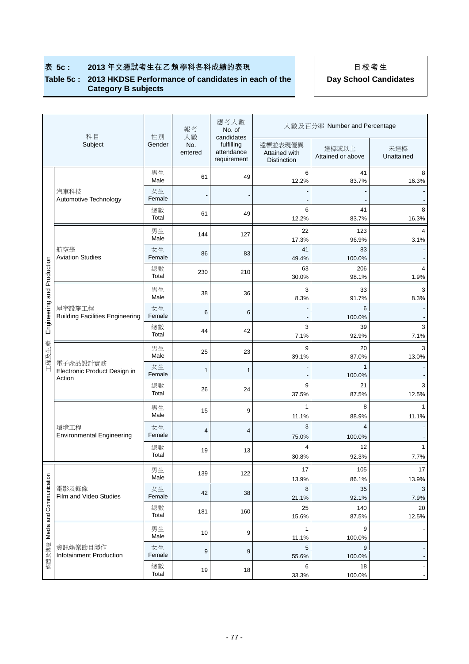#### **Table 5c : 2013 HKDSE Performance of candidates in each of the Category B subjects**

|                               | 科目                                                 |              | 報考<br>人數       | 應考人數<br>No. of<br>candidates            | 人數及百分率 Number and Percentage                   |                            |                       |  |  |
|-------------------------------|----------------------------------------------------|--------------|----------------|-----------------------------------------|------------------------------------------------|----------------------------|-----------------------|--|--|
|                               | Subject                                            | 性別<br>Gender | No.<br>entered | fulfilling<br>attendance<br>requirement | 達標並表現優異<br>Attained with<br><b>Distinction</b> | 達標或以上<br>Attained or above | 未達標<br>Unattained     |  |  |
|                               |                                                    | 男生<br>Male   | 61             | 49                                      | 6<br>12.2%                                     | 41<br>83.7%                | 8<br>16.3%            |  |  |
|                               | 汽車科技<br>Automotive Technology                      | 女生<br>Female |                |                                         |                                                |                            |                       |  |  |
|                               |                                                    | 總數<br>Total  | 61             | 49                                      | 6<br>12.2%                                     | 41<br>83.7%                | 8<br>16.3%            |  |  |
|                               |                                                    | 男生<br>Male   | 144            | 127                                     | 22<br>17.3%                                    | 123<br>96.9%               | 4<br>3.1%             |  |  |
|                               | 航空學<br><b>Aviation Studies</b>                     | 女生<br>Female | 86             | 83                                      | 41<br>49.4%                                    | 83<br>100.0%               |                       |  |  |
|                               |                                                    | 總數<br>Total  | 230            | 210                                     | 63<br>30.0%                                    | 206<br>98.1%               | 4<br>1.9%             |  |  |
| Engineering and Production    |                                                    | 男生<br>Male   | 38             | 36                                      | 3<br>8.3%                                      | 33<br>91.7%                | 3<br>8.3%             |  |  |
|                               | 屋宇設施工程<br><b>Building Facilities Engineering</b>   | 女生<br>Female | 6              | 6                                       |                                                | 6<br>100.0%                |                       |  |  |
|                               |                                                    | 總數<br>Total  | 44             | 42                                      | 3<br>7.1%                                      | 39<br>92.9%                | 3<br>7.1%             |  |  |
| 工程及生產                         |                                                    | 男生<br>Male   | 25             | 23                                      | 9<br>39.1%                                     | 20<br>87.0%                | 3<br>13.0%            |  |  |
|                               | 電子產品設計實務<br>Electronic Product Design in<br>Action | 女生<br>Female | 1              | 1                                       |                                                | 1<br>100.0%                |                       |  |  |
|                               |                                                    | 總數<br>Total  | 26             | 24                                      | 9<br>37.5%                                     | 21<br>87.5%                | 3<br>12.5%            |  |  |
|                               |                                                    | 男生<br>Male   | 15             | 9                                       | $\mathbf{1}$<br>11.1%                          | 8<br>88.9%                 | $\mathbf{1}$<br>11.1% |  |  |
|                               | 環境工程<br><b>Environmental Engineering</b>           | 女生<br>Female | $\overline{4}$ | 4                                       | 3<br>75.0%                                     | $\overline{4}$             |                       |  |  |
|                               |                                                    | 總數<br>Total  | 19             | 13                                      | 4                                              | 100.0%<br>12               | $\mathbf{1}$          |  |  |
|                               |                                                    | 男生           |                |                                         | 30.8%<br>17                                    | 92.3%<br>105               | 7.7%<br>1/            |  |  |
|                               |                                                    | Male         | 139            | 122                                     | 13.9%                                          | 86.1%                      | 13.9%                 |  |  |
|                               | 電影及錄像<br>Film and Video Studies                    | 女生<br>Female | 42             | 38                                      | 8<br>21.1%                                     | 35<br>92.1%                | 3<br>7.9%             |  |  |
|                               |                                                    | 總數<br>Total  | 181            | 160                                     | 25<br>15.6%                                    | 140<br>87.5%               | 20<br>12.5%           |  |  |
| 媒體及傳意 Media and Communication |                                                    | 男生<br>Male   | 10             | 9                                       | 1<br>11.1%                                     | 9<br>100.0%                |                       |  |  |
|                               | 資訊娛樂節目製作<br>Infotainment Production                | 女生<br>Female | 9              | 9                                       | 5<br>55.6%                                     | 9<br>100.0%                |                       |  |  |
|                               |                                                    | 總數<br>Total  | 19             | 18                                      | 6<br>33.3%                                     | 18<br>100.0%               |                       |  |  |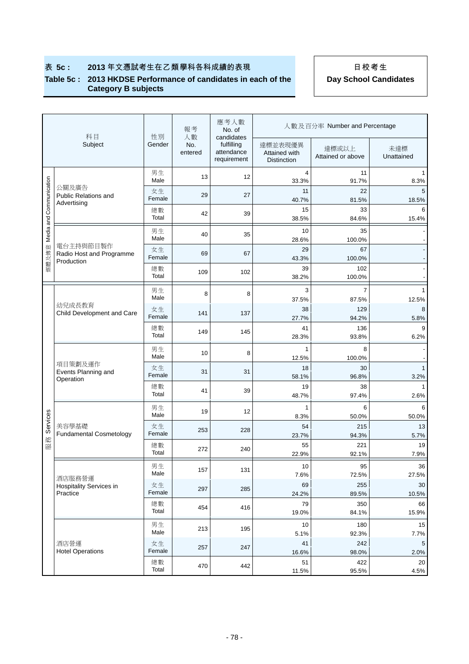#### **Table 5c : 2013 HKDSE Performance of candidates in each of the Category B subjects**

| 科目                      |                                                     | 性別           | 報考<br>人數       | 應考人數<br>No. of<br>candidates            | 人數及百分率 Number and Percentage                   |                            |                      |  |  |
|-------------------------|-----------------------------------------------------|--------------|----------------|-----------------------------------------|------------------------------------------------|----------------------------|----------------------|--|--|
|                         | Subject                                             | Gender       | No.<br>entered | fulfilling<br>attendance<br>requirement | 達標並表現優異<br>Attained with<br><b>Distinction</b> | 達標或以上<br>Attained or above | 未達標<br>Unattained    |  |  |
|                         |                                                     | 男生<br>Male   | 13             | 12                                      | 4<br>33.3%                                     | 11<br>91.7%                | 8.3%                 |  |  |
|                         | 公關及廣告<br>Public Relations and<br>Advertising        | 女生<br>Female | 29             | 27                                      | 11<br>40.7%                                    | 22<br>81.5%                | 5<br>18.5%           |  |  |
|                         |                                                     | 總數<br>Total  | 42             | 39                                      | 15<br>38.5%                                    | 33<br>84.6%                | 6<br>15.4%           |  |  |
| Media and Communication |                                                     | 男生<br>Male   | 40             | 35                                      | 10<br>28.6%                                    | 35<br>100.0%               |                      |  |  |
| 媒體及傳意                   | 電台主持與節目製作<br>Radio Host and Programme<br>Production | 女生<br>Female | 69             | 67                                      | 29<br>43.3%                                    | 67<br>100.0%               |                      |  |  |
|                         |                                                     | 總數<br>Total  | 109            | 102                                     | 39<br>38.2%                                    | 102<br>100.0%              |                      |  |  |
|                         |                                                     | 男生<br>Male   | 8              | 8                                       | 3<br>37.5%                                     | $\overline{7}$<br>87.5%    | 1<br>12.5%           |  |  |
|                         | 幼兒成長教育<br>Child Development and Care                | 女生<br>Female | 141            | 137                                     | 38<br>27.7%                                    | 129<br>94.2%               | 8<br>5.8%            |  |  |
|                         |                                                     | 總數<br>Total  | 149            | 145                                     | 41<br>28.3%                                    | 136<br>93.8%               | 9<br>6.2%            |  |  |
|                         |                                                     | 男生<br>Male   | 10             | 8                                       | 1<br>12.5%                                     | 8<br>100.0%                |                      |  |  |
|                         | 項目策劃及運作<br>Events Planning and<br>Operation         | 女生<br>Female | 31             | 31                                      | 18<br>58.1%                                    | 30<br>96.8%                | $\mathbf{1}$<br>3.2% |  |  |
|                         |                                                     | 總數<br>Total  | 41             | 39                                      | 19<br>48.7%                                    | 38<br>97.4%                | 1<br>2.6%            |  |  |
|                         |                                                     | 男生<br>Male   | 19             | 12                                      | $\mathbf{1}$<br>8.3%                           | 6<br>50.0%                 | 6<br>50.0%           |  |  |
| Services                | 美容學基礎<br><b>Fundamental Cosmetology</b>             | 女生<br>Female | 253            | 228                                     | 54<br>23.7%                                    | 215<br>94.3%               | 13<br>5.7%           |  |  |
| 服務                      |                                                     | 總數<br>Total  | 272            | 240                                     | 55<br>22.9%                                    | 221<br>92.1%               | 19<br>7.9%           |  |  |
|                         |                                                     | 男生<br>Male   | 157            | 131                                     | 10<br>7.6%                                     | 95<br>72.5%                | 36<br>27.5%          |  |  |
|                         | 酒店服務營運<br>Hospitality Services in<br>Practice       | 女生<br>Female | 297            | 285                                     | 69<br>24.2%                                    | 255<br>89.5%               | 30<br>10.5%          |  |  |
|                         |                                                     | 總數<br>Total  | 454            | 416                                     | 79<br>19.0%                                    | 350<br>84.1%               | 66<br>15.9%          |  |  |
|                         |                                                     | 男生<br>Male   | 213            | 195                                     | 10<br>5.1%                                     | 180<br>92.3%               | 15<br>7.7%           |  |  |
|                         | 酒店營運<br><b>Hotel Operations</b>                     | 女生<br>Female | 257            | 247                                     | 41<br>16.6%                                    | 242<br>98.0%               | 5<br>2.0%            |  |  |
|                         |                                                     | 總數<br>Total  | 470            | 442                                     | 51<br>11.5%                                    | 422<br>95.5%               | 20<br>4.5%           |  |  |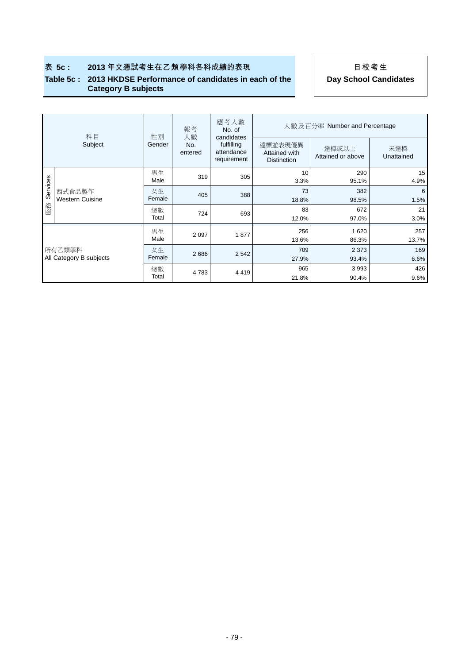#### **Table 5c : 2013 HKDSE Performance of candidates in each of the Category B subjects**

|                                   | 科目                               | 性別           | 報考<br>人數       | 應考人數<br>No. of<br>candidates            | 人數及百分率 Number and Percentage                   |                            |                   |  |  |
|-----------------------------------|----------------------------------|--------------|----------------|-----------------------------------------|------------------------------------------------|----------------------------|-------------------|--|--|
|                                   | Subject                          | Gender       | No.<br>entered | fulfilling<br>attendance<br>requirement | 達標並表現優異<br>Attained with<br><b>Distinction</b> | 達標或以上<br>Attained or above | 未達標<br>Unattained |  |  |
|                                   | 西式食品製作<br><b>Western Cuisine</b> | 男生<br>Male   | 319            | 305                                     | 10<br>3.3%                                     | 290<br>95.1%               | 15<br>4.9%        |  |  |
| Services                          |                                  | 女生<br>Female | 405            | 388                                     | 73<br>18.8%                                    | 382<br>98.5%               | 6<br>1.5%         |  |  |
| 服務                                |                                  | 總數<br>Total  | 724            | 693                                     | 83<br>12.0%                                    | 672<br>97.0%               | 21<br>3.0%        |  |  |
|                                   |                                  | 男生<br>Male   | 2 0 9 7        | 1877                                    | 256<br>13.6%                                   | 1620<br>86.3%              | 257<br>13.7%      |  |  |
| 所有乙類學科<br>All Category B subjects |                                  | 女生<br>Female | 2686           | 2 5 4 2                                 | 709<br>27.9%                                   | 2 3 7 3<br>93.4%           | 169<br>6.6%       |  |  |
|                                   |                                  | 總數<br>Total  | 4 7 8 3        | 4 4 1 9                                 | 965<br>21.8%                                   | 3993<br>90.4%              | 426<br>9.6%       |  |  |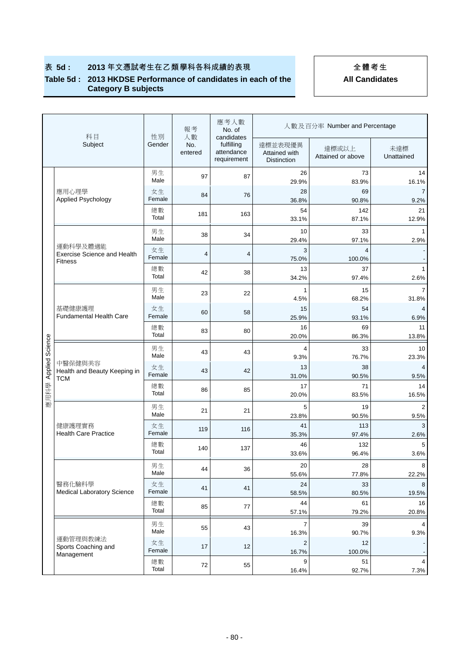#### **Table 5d : 2013 HKDSE Performance of candidates in each of the Category B subjects**

|         | 科目                                                    | 性別           | 報考<br>人數       | 應考人數<br>No. of<br>candidates            | 人數及百分率 Number and Percentage                   |                            |                        |  |  |
|---------|-------------------------------------------------------|--------------|----------------|-----------------------------------------|------------------------------------------------|----------------------------|------------------------|--|--|
|         | Subject                                               | Gender       | No.<br>entered | fulfilling<br>attendance<br>requirement | 達標並表現優異<br>Attained with<br><b>Distinction</b> | 達標或以上<br>Attained or above | 未達標<br>Unattained      |  |  |
|         |                                                       | 男生<br>Male   | 97             | 87                                      | 26<br>29.9%                                    | 73<br>83.9%                | 14<br>16.1%            |  |  |
|         | 應用心理學<br>Applied Psychology                           | 女生<br>Female | 84             | 76                                      | 28<br>36.8%                                    | 69<br>90.8%                | 9.2%                   |  |  |
|         |                                                       | 總數<br>Total  | 181            | 163                                     | 54<br>33.1%                                    | 142<br>87.1%               | 21<br>12.9%            |  |  |
|         |                                                       | 男生<br>Male   | 38             | 34                                      | 10<br>29.4%                                    | 33<br>97.1%                | 2.9%                   |  |  |
|         | 運動科學及體適能<br><b>Exercise Science and Health</b>        | 女生<br>Female | 4              | 4                                       | 3<br>75.0%                                     | $\overline{4}$<br>100.0%   |                        |  |  |
|         | <b>Fitness</b>                                        | 總數<br>Total  | 42             | 38                                      | 13<br>34.2%                                    | 37<br>97.4%                | 2.6%                   |  |  |
|         |                                                       | 男生           | 23             | 22                                      | 1                                              | 15                         | $\overline{7}$         |  |  |
|         | 基礎健康護理                                                | Male<br>女生   | 60             | 58                                      | 4.5%<br>15                                     | 68.2%<br>54                | 31.8%                  |  |  |
|         | <b>Fundamental Health Care</b>                        | Female<br>總數 | 83             | 80                                      | 25.9%<br>16                                    | 93.1%<br>69                | 6.9%<br>11             |  |  |
| Science |                                                       | Total<br>男生  |                |                                         | 20.0%<br>4                                     | 86.3%<br>33                | 13.8%<br>10            |  |  |
|         | 中醫保健與美容<br>Health and Beauty Keeping in<br><b>TCM</b> | Male         | 43             | 43                                      | 9.3%                                           | 76.7%                      | 23.3%                  |  |  |
| Applied |                                                       | 女生<br>Female | 43             | 42                                      | 13<br>31.0%                                    | 38<br>90.5%                | 9.5%                   |  |  |
| 應用科學    |                                                       | 總數<br>Total  | 86             | 85                                      | 17<br>20.0%                                    | 71<br>83.5%                | 14<br>16.5%            |  |  |
|         |                                                       | 男生<br>Male   | 21             | 21                                      | 5<br>23.8%                                     | 19<br>90.5%                | $\overline{2}$<br>9.5% |  |  |
|         | 健康護理實務<br><b>Health Care Practice</b>                 | 女生<br>Female | 119            | 116                                     | 41<br>35.3%                                    | 113<br>97.4%               | 3<br>2.6%              |  |  |
|         |                                                       | 總數<br>Total  | 140            | 137                                     | 46<br>33.6%                                    | 132<br>96.4%               | 5<br>3.6%              |  |  |
|         |                                                       | 男生<br>Male   | 44             | 36                                      | 20                                             | 28                         | 8                      |  |  |
|         | 醫務化驗科學                                                | 女生           | 41             | 41                                      | 55.6%<br>24                                    | 77.8%<br>33                | 22.2%<br>8             |  |  |
|         | <b>Medical Laboratory Science</b>                     | Female<br>總數 | 85             | 77                                      | 58.5%<br>44                                    | 80.5%<br>61                | 19.5%<br>16            |  |  |
|         |                                                       | Total        |                |                                         | 57.1%                                          | 79.2%                      | 20.8%                  |  |  |
|         |                                                       | 男生<br>Male   | 55             | 43                                      | 7<br>16.3%                                     | 39<br>90.7%                | 9.3%                   |  |  |
|         | 運動管理與教練法<br>Sports Coaching and<br>Management         | 女生<br>Female | 17             | 12                                      | 2<br>16.7%                                     | 12<br>100.0%               |                        |  |  |
|         |                                                       | 總數<br>Total  | 72             | 55                                      | 9<br>16.4%                                     | 51<br>92.7%                | 4<br>7.3%              |  |  |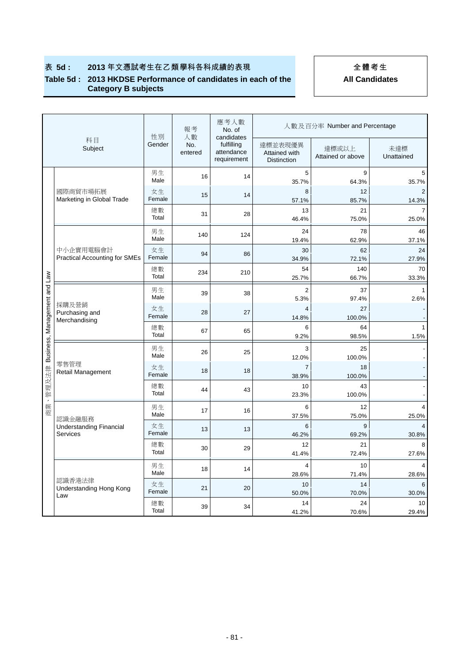#### **Table 5d : 2013 HKDSE Performance of candidates in each of the Category B subjects**

|                                |                                                             |              | 報考<br>人數       | 應考人數<br>No. of<br>candidates            | 人數及百分率 Number and Percentage                   |                            |                         |  |
|--------------------------------|-------------------------------------------------------------|--------------|----------------|-----------------------------------------|------------------------------------------------|----------------------------|-------------------------|--|
|                                | 科目<br>Subject                                               | 性別<br>Gender | No.<br>entered | fulfilling<br>attendance<br>requirement | 達標並表現優異<br>Attained with<br><b>Distinction</b> | 達標或以上<br>Attained or above | 未達標<br>Unattained       |  |
|                                | 國際商貿市場拓展<br>Marketing in Global Trade                       | 男生<br>Male   | 16             | 14                                      | 5<br>35.7%                                     | 9<br>64.3%                 | 5<br>35.7%              |  |
|                                |                                                             | 女生<br>Female | 15             | 14                                      | 8<br>57.1%                                     | 12<br>85.7%                | $\overline{2}$<br>14.3% |  |
|                                |                                                             | 總數<br>Total  | 31             | 28                                      | 13<br>46.4%                                    | 21<br>75.0%                | 25.0%                   |  |
|                                |                                                             | 男生<br>Male   | 140            | 124                                     | 24<br>19.4%                                    | 78<br>62.9%                | 46<br>37.1%             |  |
|                                | 中小企實用電腦會計<br><b>Practical Accounting for SMEs</b>           | 女生<br>Female | 94             | 86                                      | 30<br>34.9%                                    | 62<br>72.1%                | 24<br>27.9%             |  |
|                                |                                                             | 總數<br>Total  | 234            | 210                                     | 54<br>25.7%                                    | 140<br>66.7%               | 70<br>33.3%             |  |
|                                |                                                             | 男生<br>Male   | 39             | 38                                      | $\overline{2}$<br>5.3%                         | 37<br>97.4%                | 1<br>2.6%               |  |
|                                | 採購及營銷<br>Purchasing and<br>Merchandising                    | 女生<br>Female | 28             | 27                                      | $\overline{4}$<br>14.8%                        | 27<br>100.0%               |                         |  |
| Business, Management and Law   |                                                             | 總數<br>Total  | 67             | 65                                      | 6<br>9.2%                                      | 64<br>98.5%                | 1.5%                    |  |
|                                |                                                             | 男生<br>Male   | 26             | 25                                      | 3                                              | 25                         |                         |  |
|                                | 零售管理<br>Retail Management                                   | 女生<br>Female | 18             | 18                                      | 12.0%<br>$\overline{7}$<br>38.9%               | 100.0%<br>18<br>100.0%     |                         |  |
| 管理及法律                          |                                                             | 總數<br>Total  | 44             | 43                                      | 10<br>23.3%                                    | 43<br>100.0%               |                         |  |
| $\overline{\phantom{a}}$<br>商業 |                                                             | 男生<br>Male   | 17             | 16                                      | 6<br>37.5%                                     | 12<br>75.0%                | 25.0%                   |  |
|                                | 認識金融服務<br><b>Understanding Financial</b><br><b>Services</b> | 女生<br>Female | 13             | 13                                      | 6<br>46.2%                                     | 9<br>69.2%                 | 30.8%                   |  |
|                                |                                                             | 總數<br>Total  | 30             | 29                                      | 12<br>41.4%                                    | 21<br>72.4%                | 27.6%                   |  |
|                                |                                                             | 男生<br>Male   | 18             | 14                                      | $\overline{4}$                                 | 10                         |                         |  |
|                                | 認識香港法律<br>Understanding Hong Kong                           | 女生<br>Female | 21             | 20                                      | 28.6%<br>10                                    | 71.4%<br>14                | 28.6%<br>6              |  |
|                                | Law                                                         | 總數<br>Total  | 39             | 34                                      | 50.0%<br>14<br>41.2%                           | 70.0%<br>24<br>70.6%       | 30.0%<br>10<br>29.4%    |  |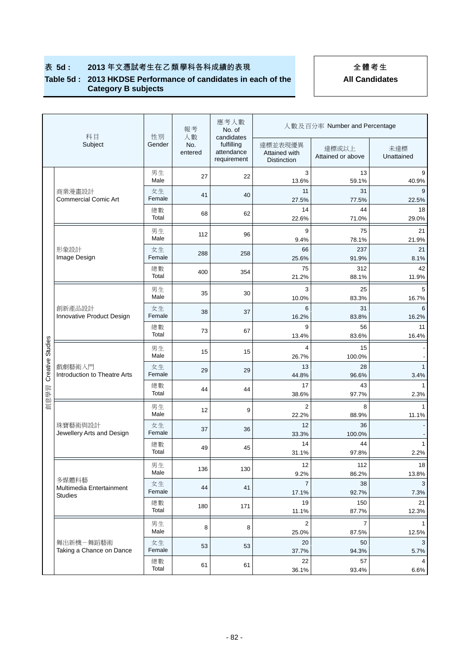#### **Table 5d : 2013 HKDSE Performance of candidates in each of the Category B subjects**

|                  | 科目                                         | 性別                    | 報考                   | 應考人數<br>No. of                                        |                                                | 人數及百分率 Number and Percentage |                       |
|------------------|--------------------------------------------|-----------------------|----------------------|-------------------------------------------------------|------------------------------------------------|------------------------------|-----------------------|
|                  | Subject                                    | Gender                | 人數<br>No.<br>entered | candidates<br>fulfilling<br>attendance<br>requirement | 達標並表現優異<br>Attained with<br><b>Distinction</b> | 達標或以上<br>Attained or above   | 未達標<br>Unattained     |
|                  |                                            | 男生<br>Male            | 27                   | 22                                                    | 3<br>13.6%                                     | 13<br>59.1%                  | 9<br>40.9%            |
|                  | 商業漫畫設計<br><b>Commercial Comic Art</b>      | 女生<br>Female          | 41                   | 40                                                    | 11<br>27.5%                                    | 31<br>77.5%                  | 9<br>22.5%            |
|                  |                                            | 總數<br>Total           | 68                   | 62                                                    | 14<br>22.6%                                    | 44<br>71.0%                  | 18<br>29.0%           |
|                  |                                            | 男生<br>Male            | 112                  | 96                                                    | 9<br>9.4%                                      | 75<br>78.1%                  | 21<br>21.9%           |
|                  | 形象設計<br>Image Design                       | 女生<br>Female          | 288                  | 258                                                   | 66<br>25.6%                                    | 237<br>91.9%                 | 21<br>8.1%            |
|                  |                                            | 總數<br>Total           | 400                  | 354                                                   | 75<br>21.2%                                    | 312<br>88.1%                 | 42<br>11.9%           |
|                  |                                            | 男生<br>Male            | 35                   | 30                                                    | 3                                              | 25                           | 5                     |
|                  | 創新產品設計<br>Innovative Product Design        | 女生<br>Female          | 38                   | 37                                                    | 10.0%<br>6<br>16.2%                            | 83.3%<br>31<br>83.8%         | 16.7%<br>6<br>16.2%   |
|                  |                                            | 總數<br>Total           | 73                   | 67                                                    | 9<br>13.4%                                     | 56<br>83.6%                  | 11<br>16.4%           |
| Creative Studies |                                            | 男生                    | 15                   | 15                                                    | 4                                              | 15                           |                       |
|                  | 戲劇藝術入門<br>Introduction to Theatre Arts     | Male<br>女生            | 29                   | 29                                                    | 26.7%<br>13                                    | 100.0%<br>28                 | $\mathbf{1}$          |
|                  |                                            | Female<br>總數<br>Total | 44                   | 44                                                    | 44.8%<br>17                                    | 96.6%<br>43                  | 3.4%<br>$\mathbf{1}$  |
| 創意學習             |                                            | 男生                    | 12                   | 9                                                     | 38.6%<br>2                                     | 97.7%<br>8                   | 2.3%                  |
|                  | 珠寶藝術與設計                                    | Male<br>女生            | 37                   | 36                                                    | 22.2%<br>12                                    | 88.9%<br>36                  | 11.1%                 |
|                  | Jewellery Arts and Design                  | Female<br>總數          | 49                   | 45                                                    | 33.3%<br>14                                    | 100.0%<br>44                 | $\mathbf{1}$          |
|                  |                                            | Total<br>男生           |                      | 130                                                   | 31.1%<br>12                                    | 97.8%<br>112                 | 2.2%<br>18            |
|                  | 多媒體科藝                                      | Male<br>女生            | 136                  |                                                       | 9.2%<br>$\overline{7}$                         | 86.2%<br>38                  | 13.8%<br>3            |
|                  | Multimedia Entertainment<br><b>Studies</b> | Female<br>總數          | 44                   | 41                                                    | 17.1%<br>19                                    | 92.7%<br>150                 | 7.3%<br>21            |
|                  |                                            | Total                 | 180                  | 171                                                   | 11.1%                                          | 87.7%                        | 12.3%                 |
|                  |                                            | 男生<br>Male            | 8                    | 8                                                     | $\overline{2}$<br>25.0%                        | 7<br>87.5%                   | $\mathbf{1}$<br>12.5% |
|                  | 舞出新機-舞蹈藝術<br>Taking a Chance on Dance      | 女生<br>Female          | 53                   | 53                                                    | 20<br>37.7%                                    | 50<br>94.3%                  | 3<br>5.7%             |
|                  |                                            | 總數<br>Total           | 61                   | 61                                                    | 22<br>36.1%                                    | 57<br>93.4%                  | 6.6%                  |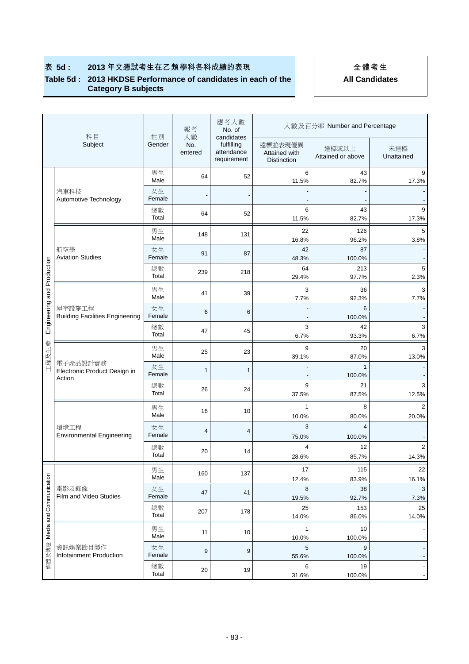#### **Table 5d : 2013 HKDSE Performance of candidates in each of the Category B subjects**

|                         | 科目                                                 |              | 報考<br>人數       | 應考人數<br>No. of<br>candidates            |                                                | 人數及百分率 Number and Percentage |                   |  |  |  |
|-------------------------|----------------------------------------------------|--------------|----------------|-----------------------------------------|------------------------------------------------|------------------------------|-------------------|--|--|--|
|                         | Subject                                            | 性別<br>Gender | No.<br>entered | fulfilling<br>attendance<br>requirement | 達標並表現優異<br>Attained with<br><b>Distinction</b> | 達標或以上<br>Attained or above   | 未達標<br>Unattained |  |  |  |
|                         |                                                    | 男生<br>Male   | 64             | 52                                      | 6<br>11.5%                                     | 43<br>82.7%                  | 9<br>17.3%        |  |  |  |
|                         | 汽車科技<br>Automotive Technology                      | 女生<br>Female |                |                                         |                                                |                              |                   |  |  |  |
|                         |                                                    | 總數<br>Total  | 64             | 52                                      | 6<br>11.5%                                     | 43<br>82.7%                  | 9<br>17.3%        |  |  |  |
|                         |                                                    | 男生<br>Male   | 148            | 131                                     | 22<br>16.8%                                    | 126<br>96.2%                 | 5<br>3.8%         |  |  |  |
|                         | 航空學<br><b>Aviation Studies</b>                     | 女生<br>Female | 91             | 87                                      | 42<br>48.3%                                    | 87<br>100.0%                 |                   |  |  |  |
| and Production          |                                                    | 總數<br>Total  | 239            | 218                                     | 64<br>29.4%                                    | 213<br>97.7%                 | 5<br>2.3%         |  |  |  |
|                         |                                                    | 男生           | 41             | 39                                      | 3                                              | 36                           | 3                 |  |  |  |
|                         | 屋宇設施工程                                             | Male<br>女生   | 6              | 6                                       | 7.7%                                           | 92.3%<br>6                   | 7.7%              |  |  |  |
| Engineering             | <b>Building Facilities Engineering</b>             | Female<br>總數 |                |                                         | 3                                              | 100.0%<br>42                 | 3                 |  |  |  |
|                         |                                                    | Total        | 47             | 45                                      | 6.7%                                           | 93.3%                        | 6.7%              |  |  |  |
| 工程及生產                   |                                                    | 男生<br>Male   | 25             | 23                                      | 9<br>39.1%                                     | 20<br>87.0%                  | 3<br>13.0%        |  |  |  |
|                         | 電子產品設計實務<br>Electronic Product Design in<br>Action | 女生<br>Female | $\mathbf{1}$   | $\mathbf{1}$                            |                                                | 1<br>100.0%                  |                   |  |  |  |
|                         |                                                    | 總數<br>Total  | 26             | 24                                      | 9<br>37.5%                                     | 21<br>87.5%                  | 3<br>12.5%        |  |  |  |
|                         |                                                    | 男生<br>Male   | 16             | 10                                      | $\mathbf{1}$                                   | 8                            | 2                 |  |  |  |
|                         | 環境工程                                               | 女生           | 4              | 4                                       | 10.0%<br>3                                     | 80.0%<br>$\overline{4}$      | 20.0%             |  |  |  |
|                         | <b>Environmental Engineering</b>                   | Female<br>總數 |                |                                         | 75.0%<br>$\overline{4}$                        | 100.0%<br>12                 | 2                 |  |  |  |
|                         |                                                    | Total        | 20             | 14                                      | 28.6%                                          | 85.7%                        | 14.3%             |  |  |  |
|                         |                                                    | 男生<br>Male   | 160            | 137                                     | 17<br>12.4%                                    | 115<br>83.9%                 | 22<br>16.1%       |  |  |  |
|                         | 電影及錄像<br>Film and Video Studies                    | 女生<br>Female | 47             | 41                                      | 8<br>19.5%                                     | 38<br>92.7%                  | 3<br>7.3%         |  |  |  |
| Media and Communication |                                                    | 總數<br>Total  | 207            | 178                                     | 25<br>14.0%                                    | 153<br>86.0%                 | 25<br>14.0%       |  |  |  |
|                         |                                                    | 男生           | 11             | 10                                      | $\mathbf{1}$                                   | 10                           |                   |  |  |  |
|                         | 資訊娛樂節目製作                                           | Male<br>女生   |                |                                         | 10.0%<br>5                                     | 100.0%<br>9                  |                   |  |  |  |
| 媒體及傳意                   | Infotainment Production                            | Female       | 9              | 9                                       | 55.6%                                          | 100.0%                       |                   |  |  |  |
|                         |                                                    | 總數<br>Total  | 20             | 19                                      | 6<br>31.6%                                     | 19<br>100.0%                 |                   |  |  |  |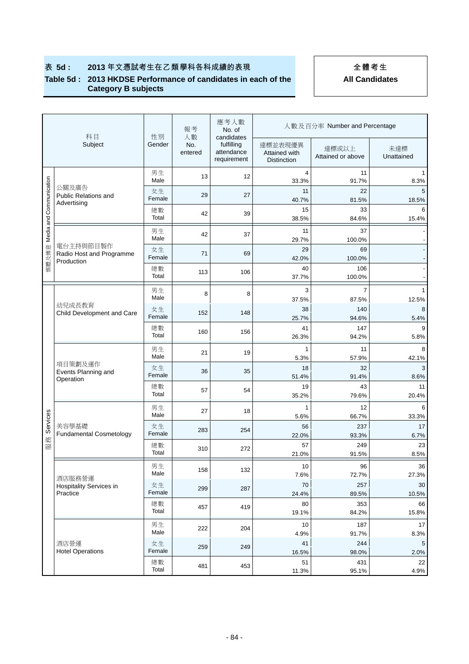#### **Table 5d : 2013 HKDSE Performance of candidates in each of the Category B subjects**

|                         | 科目                                           |              | 報考<br>人數       | 應考人數<br>No. of<br>candidates            |                                                | 人數及百分率 Number and Percentage |                   |
|-------------------------|----------------------------------------------|--------------|----------------|-----------------------------------------|------------------------------------------------|------------------------------|-------------------|
|                         | Subject                                      | 性別<br>Gender | No.<br>entered | fulfilling<br>attendance<br>requirement | 達標並表現優異<br>Attained with<br><b>Distinction</b> | 達標或以上<br>Attained or above   | 未達標<br>Unattained |
|                         |                                              | 男生<br>Male   | 13             | 12                                      | 4<br>33.3%                                     | 11<br>91.7%                  | 8.3%              |
|                         | 公關及廣告<br>Public Relations and<br>Advertising | 女生<br>Female | 29             | 27                                      | 11<br>40.7%                                    | 22<br>81.5%                  | 5<br>18.5%        |
|                         |                                              | 總數<br>Total  | 42             | 39                                      | 15<br>38.5%                                    | 33<br>84.6%                  | 6<br>15.4%        |
| Media and Communication |                                              | 男生<br>Male   | 42             | 37                                      | 11<br>29.7%                                    | 37<br>100.0%                 |                   |
| 媒體及傳意                   | 電台主持與節目製作<br>Radio Host and Programme        | 女生<br>Female | 71             | 69                                      | 29<br>42.0%                                    | 69<br>100.0%                 |                   |
|                         | Production                                   | 總數<br>Total  | 113            | 106                                     | 40<br>37.7%                                    | 106<br>100.0%                |                   |
|                         |                                              | 男生           | 8              | 8                                       | 3                                              | $\overline{7}$               |                   |
|                         | 幼兒成長教育                                       | Male<br>女生   |                |                                         | 37.5%<br>38                                    | 87.5%<br>140                 | 12.5%<br>8        |
|                         | Child Development and Care                   | Female       | 152            | 148                                     | 25.7%                                          | 94.6%                        | 5.4%              |
|                         |                                              | 總數<br>Total  | 160            | 156                                     | 41<br>26.3%                                    | 147<br>94.2%                 | 5.8%              |
|                         | 項目策劃及運作<br>Events Planning and<br>Operation  | 男生<br>Male   | 21             | 19                                      | $\mathbf{1}$<br>5.3%                           | 11<br>57.9%                  | 8<br>42.1%        |
|                         |                                              | 女生<br>Female | 36             | 35                                      | 18<br>51.4%                                    | 32<br>91.4%                  | 3<br>8.6%         |
|                         |                                              | 總數<br>Total  | 57             | 54                                      | 19<br>35.2%                                    | 43<br>79.6%                  | 11<br>20.4%       |
|                         |                                              | 男生           |                |                                         | $\mathbf{1}$                                   | 12                           | 6                 |
| Services                |                                              | Male         | 27             | 18                                      | 5.6%                                           | 66.7%                        | 33.3%             |
|                         | 美容學基礎<br><b>Fundamental Cosmetology</b>      | 女生<br>Female | 283            | 254                                     | 56<br>22.0%                                    | 237<br>93.3%                 | 17<br>6.7%        |
| 眼務                      |                                              | 總數           |                |                                         | 57                                             | 249                          | 23                |
|                         |                                              | Total        | 310            | 272                                     | 21.0%                                          | 91.5%                        | 8.5%              |
|                         |                                              | 男生           | 158            | 132                                     | 10                                             | 96                           | 36                |
|                         | 酒店服務營運                                       | Male<br>女生   |                |                                         | 7.6%<br>70                                     | 72.7%<br>257                 | 27.3%<br>30       |
|                         | Hospitality Services in<br>Practice          | Female       | 299            | 287                                     | 24.4%                                          | 89.5%                        | 10.5%             |
|                         |                                              | 總數<br>Total  | 457            | 419                                     | 80<br>19.1%                                    | 353<br>84.2%                 | 66<br>15.8%       |
|                         |                                              | 男生           | 222            | 204                                     | 10                                             | 187                          | $17$              |
|                         |                                              | Male         |                |                                         | 4.9%                                           | 91.7%                        | 8.3%              |
|                         | 酒店營運<br><b>Hotel Operations</b>              | 女生<br>Female | 259            | 249                                     | 41<br>16.5%                                    | 244<br>98.0%                 | 5<br>2.0%         |
|                         |                                              | 總數           | 481            | 453                                     | 51                                             | 431                          | 22                |
|                         |                                              | Total        |                |                                         | 11.3%                                          | 95.1%                        | 4.9%              |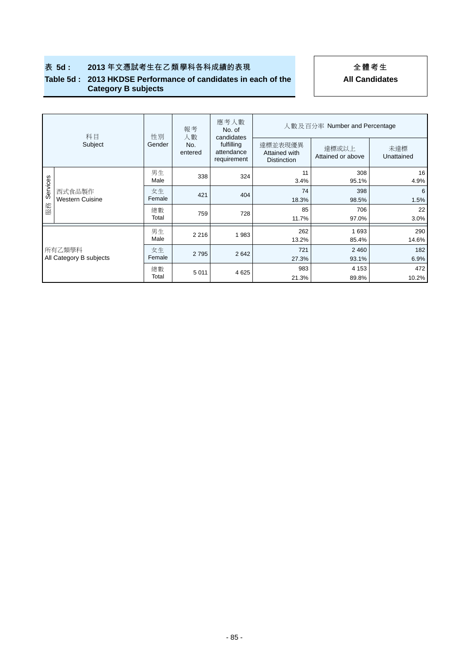#### **Table 5d : 2013 HKDSE Performance of candidates in each of the Category B subjects**

|                                   | 科目                               | 性別           | 報考<br>人數       | 應考人數<br>No. of<br>candidates            | 人數及百分率 Number and Percentage                   |                            |                   |  |  |
|-----------------------------------|----------------------------------|--------------|----------------|-----------------------------------------|------------------------------------------------|----------------------------|-------------------|--|--|
|                                   | Subject                          | Gender       | No.<br>entered | fulfilling<br>attendance<br>requirement | 達標並表現優異<br>Attained with<br><b>Distinction</b> | 達標或以上<br>Attained or above | 未達標<br>Unattained |  |  |
|                                   | 西式食品製作<br><b>Western Cuisine</b> | 男生<br>Male   | 338            | 324                                     | 11<br>3.4%                                     | 308<br>95.1%               | 16<br>4.9%        |  |  |
| Services                          |                                  | 女生<br>Female | 421            | 404                                     | 74<br>18.3%                                    | 398<br>98.5%               | 6<br>1.5%         |  |  |
| 服務                                |                                  | 總數<br>Total  | 759            | 728                                     | 85<br>11.7%                                    | 706<br>97.0%               | 22<br>3.0%        |  |  |
|                                   |                                  | 男生<br>Male   | 2 2 1 6        | 1983                                    | 262<br>13.2%                                   | 1 693<br>85.4%             | 290<br>14.6%      |  |  |
| 所有乙類學科<br>All Category B subjects |                                  | 女生<br>Female | 2 7 9 5        | 2 6 4 2                                 | 721<br>27.3%                                   | 2 4 6 0<br>93.1%           | 182<br>6.9%       |  |  |
|                                   |                                  | 總數<br>Total  | 5 0 1 1        | 4 6 25                                  | 983<br>21.3%                                   | 4 1 5 3<br>89.8%           | 472<br>10.2%      |  |  |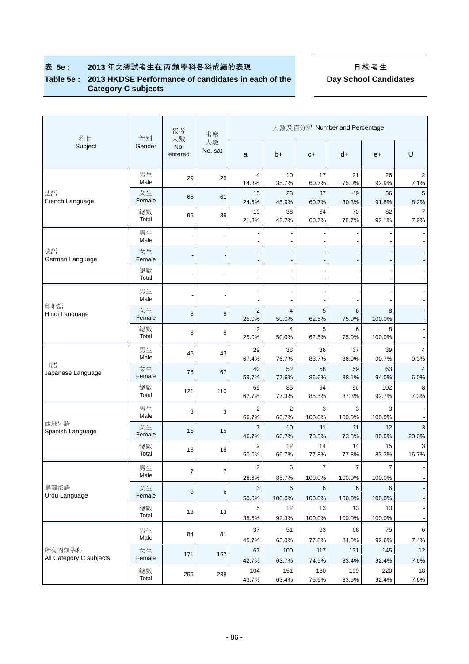### 表 5e : 2013年文憑試考生在丙類學科各科成績的表現 **Network of The Manage of The Point 2013**年文憑試考生

### **Table 5e : 2013 HKDSE Performance of candidates in each of the Category C subjects**

| 科目                                | 性別           | 報考<br>人數       | 出席            |                                  |                         | 人數及百分率 Number and Percentage |                          |                          |                        |
|-----------------------------------|--------------|----------------|---------------|----------------------------------|-------------------------|------------------------------|--------------------------|--------------------------|------------------------|
| Subject                           | Gender       | No.<br>entered | 人數<br>No. sat | a                                | b+                      | $C +$                        | d+                       | $e+$                     | U                      |
|                                   | 男生<br>Male   | 29             | 28            | 4<br>14.3%                       | 10<br>35.7%             | 17<br>60.7%                  | 21<br>75.0%              | 26<br>92.9%              | 2<br>7.1%              |
| 法語<br>French Language             | 女生<br>Female | 66             | 61            | 15<br>24.6%                      | 28<br>45.9%             | 37<br>60.7%                  | 49<br>80.3%              | 56<br>91.8%              | 5<br>8.2%              |
|                                   | 總數<br>Total  | 95             | 89            | 19<br>21.3%                      | 38<br>42.7%             | 54<br>60.7%                  | 70<br>78.7%              | 82<br>92.1%              | 7.9%                   |
|                                   | 男生<br>Male   |                |               |                                  |                         |                              |                          |                          |                        |
| 德語<br>German Language             | 女生<br>Female |                |               |                                  |                         |                              |                          |                          |                        |
|                                   | 總數<br>Total  |                |               |                                  |                         |                              |                          |                          |                        |
|                                   | 男生<br>Male   |                |               |                                  |                         |                              |                          |                          |                        |
| 印地語<br>Hindi Language             | 女生<br>Female | 8              | 8             | $\overline{2}$<br>25.0%          | 4<br>50.0%              | 5<br>62.5%                   | 6<br>75.0%               | 8<br>100.0%              |                        |
|                                   | 總數<br>Total  | 8              | 8             | $\overline{2}$<br>25.0%          | 4<br>50.0%              | 5<br>62.5%                   | 6<br>75.0%               | 8<br>100.0%              |                        |
|                                   | 男生<br>Male   | 45             | 43            | 29<br>67.4%                      | 33<br>76.7%             | 36<br>83.7%                  | 37<br>86.0%              | 39<br>90.7%              | 4<br>9.3%              |
| 日語<br>Japanese Language           | 女生<br>Female | 76             | 67            | 40<br>59.7%                      | 52<br>77.6%             | 58<br>86.6%                  | 59<br>88.1%              | 63<br>94.0%              | $\overline{4}$<br>6.0% |
|                                   | 總數<br>Total  | 121            | 110           | 69<br>62.7%                      | 85<br>77.3%             | 94<br>85.5%                  | 96<br>87.3%              | 102<br>92.7%             | 8<br>7.3%              |
|                                   | 男生<br>Male   | 3              | 3             | $\overline{2}$<br>66.7%          | $\overline{2}$<br>66.7% | 3<br>100.0%                  | 3<br>100.0%              | 3<br>100.0%              |                        |
| 西班牙語<br>Spanish Language          | 女生<br>Female | 15             | 15            | $\overline{7}$<br>46.7%          | 10<br>66.7%             | 11<br>73.3%                  | 11<br>73.3%              | 12<br>80.0%              | 3<br>20.0%             |
|                                   | 總數<br>Total  | 18             | 18            | 9<br>50.0%                       | 12<br>66.7%             | 14<br>77.8%                  | 14<br>77.8%              | 15<br>83.3%              | 3<br>16.7%             |
|                                   | 男生<br>Male   | $\overline{7}$ | 7             | $\overline{\mathbf{c}}$<br>28.6% | 6<br>85.7%              | $\overline{7}$<br>100.0%     | $\overline{7}$<br>100.0% | $\overline{7}$<br>100.0% |                        |
| 烏爾都語<br>Urdu Language             | 女生<br>Female | 6              | 6             | 3<br>50.0%                       | 6<br>100.0%             | 6<br>100.0%                  | 6<br>100.0%              | 6<br>100.0%              |                        |
|                                   | 總數<br>Total  | 13             | 13            | 5<br>38.5%                       | 12<br>92.3%             | 13<br>100.0%                 | 13<br>100.0%             | 13<br>100.0%             |                        |
|                                   | 男生<br>Male   | 84             | 81            | 37                               | 51                      | 63                           | 68<br>84.0%              | 75<br>92.6%              | 6<br>7.4%              |
| 所有丙類學科<br>All Category C subjects | 女生<br>Female | 171            | 157           | 45.7%<br>67                      | 63.0%<br>100            | 77.8%<br>117                 | 131                      | 145                      | 12                     |
|                                   | 總數<br>Total  | 255            | 238           | 42.7%<br>104<br>43.7%            | 63.7%<br>151<br>63.4%   | 74.5%<br>180<br>75.6%        | 83.4%<br>199<br>83.6%    | 92.4%<br>220<br>92.4%    | 7.6%<br>18<br>7.6%     |